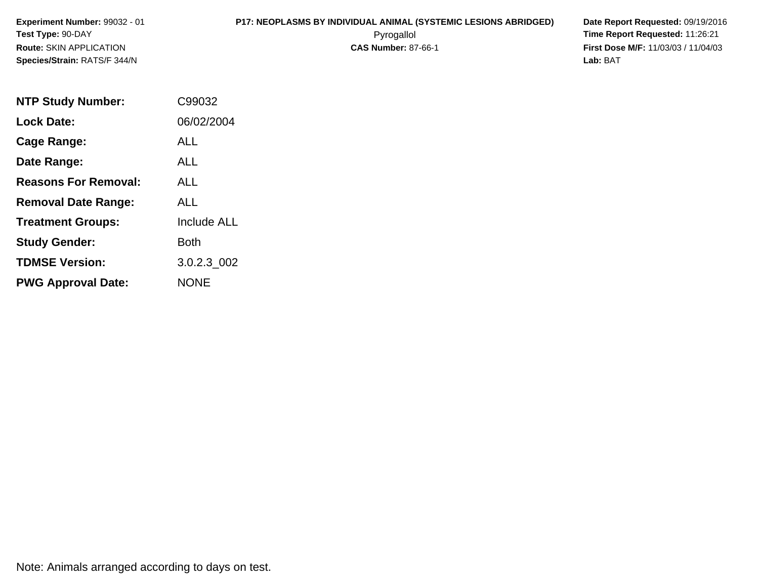# **P17: NEOPLASMS BY INDIVIDUAL ANIMAL (SYSTEMIC LESIONS ABRIDGED) Date Report Requested:** 09/19/2016

 Pyrogallol **Time Report Requested:** 11:26:21 **First Dose M/F:** 11/03/03 / 11/04/03<br>**Lab:** BAT **Lab:** BAT

| <b>NTP Study Number:</b>    | C99032             |
|-----------------------------|--------------------|
| <b>Lock Date:</b>           | 06/02/2004         |
| Cage Range:                 | ALL                |
| Date Range:                 | AI I               |
| <b>Reasons For Removal:</b> | <b>ALL</b>         |
| <b>Removal Date Range:</b>  | AI I               |
| <b>Treatment Groups:</b>    | <b>Include ALL</b> |
| <b>Study Gender:</b>        | <b>Both</b>        |
| <b>TDMSE Version:</b>       | 3.0.2.3 002        |
| <b>PWG Approval Date:</b>   | <b>NONE</b>        |

Note: Animals arranged according to days on test.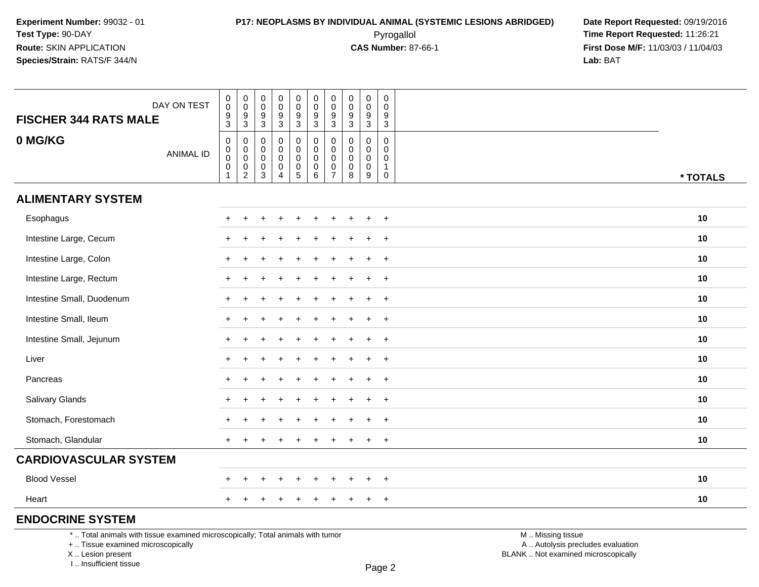## **P17: NEOPLASMS BY INDIVIDUAL ANIMAL (SYSTEMIC LESIONS ABRIDGED) Date Report Requested:** 09/19/2016 Pyrogallol **Time Report Requested:** 11:26:21

**First Dose M/F:** 11/03/03 / 11/04/03<br>**Lab:** BAT **Lab:** BAT

| <b>FISCHER 344 RATS MALE</b>                                                                                          | DAY ON TEST      | $_{\rm 0}^{\rm 0}$<br>$\boldsymbol{9}$<br>3                                   | $\begin{smallmatrix} 0\\0 \end{smallmatrix}$<br>$\frac{9}{3}$ | 0<br>$\mathbf 0$<br>9<br>3                 | $\mathbf 0$<br>$\mathbf 0$<br>$\boldsymbol{9}$<br>$\ensuremath{\mathsf{3}}$ | $\begin{smallmatrix} 0\\0 \end{smallmatrix}$<br>$\boldsymbol{9}$<br>$\mathbf{3}$  | $\begin{smallmatrix}0\0\0\end{smallmatrix}$<br>$\boldsymbol{9}$<br>3 | $_{\rm 0}^{\rm 0}$<br>$\boldsymbol{9}$<br>$\mathbf{3}$ | $\mathbf 0$<br>$\pmb{0}$<br>$\boldsymbol{9}$<br>$\mathbf{3}$  | $\mathsf 0$<br>$\boldsymbol{0}$<br>9<br>3                     | 0<br>$\Omega$<br>9<br>$\mathsf 3$                              |                                                        |  |
|-----------------------------------------------------------------------------------------------------------------------|------------------|-------------------------------------------------------------------------------|---------------------------------------------------------------|--------------------------------------------|-----------------------------------------------------------------------------|-----------------------------------------------------------------------------------|----------------------------------------------------------------------|--------------------------------------------------------|---------------------------------------------------------------|---------------------------------------------------------------|----------------------------------------------------------------|--------------------------------------------------------|--|
| 0 MG/KG                                                                                                               | <b>ANIMAL ID</b> | $\pmb{0}$<br>$\mathsf{O}$<br>$\ddot{\mathbf{0}}$<br>$\pmb{0}$<br>$\mathbf{1}$ | 0<br>$\mathbf 0$<br>$\overline{0}$<br>$\frac{0}{2}$           | 0<br>0<br>$\mathbf 0$<br>0<br>$\mathbf{3}$ | $\mathbf 0$<br>$\mathbf 0$<br>$\mathbf 0$<br>$\pmb{0}$<br>$\overline{4}$    | $\pmb{0}$<br>$\mathsf{O}$<br>$\mathsf 0$<br>$\begin{array}{c} 0 \\ 5 \end{array}$ | 0<br>0<br>$\mathbf 0$<br>$\overline{0}$ 6                            | 0<br>$\pmb{0}$<br>$\pmb{0}$<br>$\frac{0}{7}$           | $\mathbf 0$<br>$\mathbf 0$<br>$\mathbf 0$<br>$\mathbf 0$<br>8 | $\mathbf 0$<br>$\mathbf 0$<br>$\mathbf 0$<br>$\mathbf 0$<br>9 | $\mathbf 0$<br>$\mathbf 0$<br>$\mathbf 0$<br>$\mathbf{1}$<br>0 | * TOTALS                                               |  |
| <b>ALIMENTARY SYSTEM</b>                                                                                              |                  |                                                                               |                                                               |                                            |                                                                             |                                                                                   |                                                                      |                                                        |                                                               |                                                               |                                                                |                                                        |  |
| Esophagus                                                                                                             |                  |                                                                               |                                                               |                                            |                                                                             |                                                                                   |                                                                      |                                                        |                                                               |                                                               | $\ddot{}$                                                      | 10                                                     |  |
| Intestine Large, Cecum                                                                                                |                  |                                                                               |                                                               |                                            |                                                                             |                                                                                   |                                                                      |                                                        |                                                               |                                                               | $\ddot{}$                                                      | 10                                                     |  |
| Intestine Large, Colon                                                                                                |                  | $+$                                                                           |                                                               |                                            |                                                                             |                                                                                   |                                                                      |                                                        |                                                               |                                                               | $+$                                                            | 10                                                     |  |
| Intestine Large, Rectum                                                                                               |                  | $+$                                                                           |                                                               |                                            |                                                                             |                                                                                   |                                                                      |                                                        |                                                               |                                                               | $+$                                                            | 10                                                     |  |
| Intestine Small, Duodenum                                                                                             |                  |                                                                               |                                                               |                                            |                                                                             |                                                                                   |                                                                      |                                                        |                                                               |                                                               | $\ddot{}$                                                      | 10                                                     |  |
| Intestine Small, Ileum                                                                                                |                  |                                                                               |                                                               |                                            |                                                                             |                                                                                   |                                                                      |                                                        |                                                               |                                                               | $\ddot{}$                                                      | 10                                                     |  |
| Intestine Small, Jejunum                                                                                              |                  | $+$                                                                           |                                                               |                                            |                                                                             |                                                                                   |                                                                      |                                                        |                                                               |                                                               | $+$                                                            | 10                                                     |  |
| Liver                                                                                                                 |                  |                                                                               |                                                               |                                            |                                                                             |                                                                                   |                                                                      |                                                        |                                                               |                                                               | $\ddot{}$                                                      | 10                                                     |  |
| Pancreas                                                                                                              |                  |                                                                               |                                                               |                                            |                                                                             |                                                                                   |                                                                      |                                                        |                                                               |                                                               | $\overline{+}$                                                 | 10                                                     |  |
| Salivary Glands                                                                                                       |                  |                                                                               |                                                               |                                            |                                                                             |                                                                                   |                                                                      |                                                        |                                                               |                                                               | $\overline{+}$                                                 | 10                                                     |  |
| Stomach, Forestomach                                                                                                  |                  |                                                                               |                                                               |                                            |                                                                             |                                                                                   |                                                                      |                                                        |                                                               |                                                               | $+$                                                            | 10                                                     |  |
| Stomach, Glandular                                                                                                    |                  |                                                                               |                                                               |                                            |                                                                             |                                                                                   |                                                                      |                                                        |                                                               |                                                               | $+$                                                            | 10                                                     |  |
| <b>CARDIOVASCULAR SYSTEM</b>                                                                                          |                  |                                                                               |                                                               |                                            |                                                                             |                                                                                   |                                                                      |                                                        |                                                               |                                                               |                                                                |                                                        |  |
| <b>Blood Vessel</b>                                                                                                   |                  |                                                                               |                                                               |                                            |                                                                             |                                                                                   |                                                                      |                                                        |                                                               |                                                               | $\ddot{}$                                                      | 10                                                     |  |
| Heart                                                                                                                 |                  | $+$                                                                           |                                                               |                                            |                                                                             |                                                                                   |                                                                      |                                                        |                                                               | $\pm$                                                         | $+$                                                            | 10                                                     |  |
| <b>ENDOCRINE SYSTEM</b>                                                                                               |                  |                                                                               |                                                               |                                            |                                                                             |                                                                                   |                                                                      |                                                        |                                                               |                                                               |                                                                |                                                        |  |
| *  Total animals with tissue examined microscopically; Total animals with tumor<br>+  Tissue examined microscopically |                  |                                                                               |                                                               |                                            |                                                                             |                                                                                   |                                                                      |                                                        |                                                               |                                                               |                                                                | M  Missing tissue<br>A  Autolysis precludes evaluation |  |

X .. Lesion present

I .. Insufficient tissue

Lesion present BLANK .. Not examined microscopically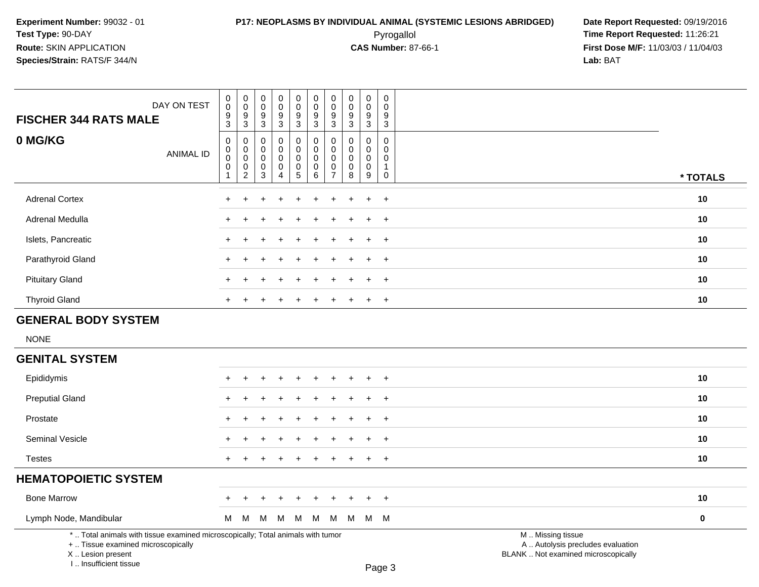## **P17: NEOPLASMS BY INDIVIDUAL ANIMAL (SYSTEMIC LESIONS ABRIDGED) Date Report Requested:** 09/19/2016 Pyrogallol **Time Report Requested:** 11:26:21

| <b>FISCHER 344 RATS MALE</b>                                                     | DAY ON TEST                                                                     | $\pmb{0}$<br>$\mathbf 0$<br>$\frac{9}{3}$                    | $\pmb{0}$<br>$\mathbf 0$<br>$\frac{9}{3}$          | 0<br>$\mathbf 0$<br>9<br>$\mathbf{3}$      | $\pmb{0}$<br>$\pmb{0}$<br>$\frac{9}{3}$                      | $\pmb{0}$<br>$\mathsf{O}\xspace$<br>$\frac{9}{3}$                | 0<br>$\mathbf 0$<br>9<br>$\mathbf{3}$                             | $\pmb{0}$<br>$\mathbf 0$<br>9<br>$\mathbf{3}$ | $\pmb{0}$<br>$\mathbf 0$<br>$\frac{9}{3}$                 | $\pmb{0}$<br>$\mathbf 0$<br>9<br>$\overline{3}$                | $\pmb{0}$<br>$\mathbf 0$<br>$\frac{9}{3}$                             |                                                                                               |             |
|----------------------------------------------------------------------------------|---------------------------------------------------------------------------------|--------------------------------------------------------------|----------------------------------------------------|--------------------------------------------|--------------------------------------------------------------|------------------------------------------------------------------|-------------------------------------------------------------------|-----------------------------------------------|-----------------------------------------------------------|----------------------------------------------------------------|-----------------------------------------------------------------------|-----------------------------------------------------------------------------------------------|-------------|
| 0 MG/KG                                                                          | <b>ANIMAL ID</b>                                                                | $\mathbf 0$<br>0<br>$\pmb{0}$<br>$\pmb{0}$<br>$\overline{1}$ | 0<br>0<br>$\pmb{0}$<br>$\pmb{0}$<br>$\overline{c}$ | $\mathbf 0$<br>0<br>0<br>0<br>$\mathbf{3}$ | $\mathbf 0$<br>0<br>$\pmb{0}$<br>$\pmb{0}$<br>$\overline{4}$ | 0<br>$\mathbf 0$<br>$\mathbf 0$<br>$\mathbf 0$<br>$\overline{5}$ | $\mathbf 0$<br>$\mathbf 0$<br>$\mathbf 0$<br>$\pmb{0}$<br>$\,6\,$ | $\mathbf 0$<br>0<br>0<br>0<br>$\overline{7}$  | $\mathbf 0$<br>$\mathbf 0$<br>$\pmb{0}$<br>$\pmb{0}$<br>8 | $\mathbf 0$<br>$\mathbf{0}$<br>$\mathbf 0$<br>$\mathbf 0$<br>9 | $\mathbf 0$<br>$\Omega$<br>$\mathbf 0$<br>$\mathbf{1}$<br>$\mathbf 0$ |                                                                                               | * TOTALS    |
| <b>Adrenal Cortex</b>                                                            |                                                                                 | $\pm$                                                        |                                                    |                                            |                                                              |                                                                  |                                                                   |                                               |                                                           | $\ddot{}$                                                      | $\ddot{}$                                                             |                                                                                               | 10          |
| Adrenal Medulla                                                                  |                                                                                 |                                                              |                                                    |                                            |                                                              |                                                                  |                                                                   |                                               |                                                           |                                                                | $\ddot{}$                                                             |                                                                                               | 10          |
| Islets, Pancreatic                                                               |                                                                                 |                                                              |                                                    |                                            |                                                              |                                                                  |                                                                   |                                               |                                                           | $\div$                                                         | $\ddot{}$                                                             |                                                                                               | 10          |
| Parathyroid Gland                                                                |                                                                                 |                                                              |                                                    |                                            |                                                              |                                                                  |                                                                   |                                               |                                                           |                                                                | $\overline{+}$                                                        |                                                                                               | 10          |
| <b>Pituitary Gland</b>                                                           |                                                                                 |                                                              |                                                    |                                            |                                                              |                                                                  |                                                                   |                                               |                                                           |                                                                | $\ddot{}$                                                             |                                                                                               | 10          |
| <b>Thyroid Gland</b>                                                             |                                                                                 | $\ddot{}$                                                    | $\ddot{}$                                          | $\ddot{}$                                  | $\ddot{}$                                                    | $\ddot{}$                                                        | $\ddot{}$                                                         | $\ddot{}$                                     |                                                           | $\ddot{}$                                                      | $+$                                                                   |                                                                                               | 10          |
| <b>GENERAL BODY SYSTEM</b>                                                       |                                                                                 |                                                              |                                                    |                                            |                                                              |                                                                  |                                                                   |                                               |                                                           |                                                                |                                                                       |                                                                                               |             |
| <b>NONE</b>                                                                      |                                                                                 |                                                              |                                                    |                                            |                                                              |                                                                  |                                                                   |                                               |                                                           |                                                                |                                                                       |                                                                                               |             |
| <b>GENITAL SYSTEM</b>                                                            |                                                                                 |                                                              |                                                    |                                            |                                                              |                                                                  |                                                                   |                                               |                                                           |                                                                |                                                                       |                                                                                               |             |
| Epididymis                                                                       |                                                                                 |                                                              |                                                    |                                            |                                                              |                                                                  |                                                                   |                                               |                                                           |                                                                | $\ddot{}$                                                             |                                                                                               | 10          |
| <b>Preputial Gland</b>                                                           |                                                                                 |                                                              |                                                    |                                            |                                                              |                                                                  |                                                                   |                                               |                                                           | $\ddot{}$                                                      | $\ddot{}$                                                             |                                                                                               | 10          |
| Prostate                                                                         |                                                                                 |                                                              |                                                    |                                            |                                                              |                                                                  |                                                                   |                                               |                                                           |                                                                | $\overline{+}$                                                        |                                                                                               | 10          |
| Seminal Vesicle                                                                  |                                                                                 |                                                              |                                                    |                                            |                                                              |                                                                  |                                                                   |                                               |                                                           | $\ddot{}$                                                      | $+$                                                                   |                                                                                               | 10          |
| <b>Testes</b>                                                                    |                                                                                 | $+$                                                          | ÷                                                  |                                            |                                                              | ÷.                                                               | $\div$                                                            |                                               |                                                           | $\ddot{}$                                                      | $\ddot{}$                                                             |                                                                                               | 10          |
| <b>HEMATOPOIETIC SYSTEM</b>                                                      |                                                                                 |                                                              |                                                    |                                            |                                                              |                                                                  |                                                                   |                                               |                                                           |                                                                |                                                                       |                                                                                               |             |
| <b>Bone Marrow</b>                                                               |                                                                                 |                                                              |                                                    |                                            |                                                              |                                                                  |                                                                   |                                               |                                                           | $\div$                                                         | $\overline{+}$                                                        |                                                                                               | 10          |
| Lymph Node, Mandibular                                                           |                                                                                 | M                                                            | M                                                  | M                                          | M                                                            | M                                                                | M                                                                 | M                                             | M                                                         |                                                                | M M                                                                   |                                                                                               | $\mathbf 0$ |
| +  Tissue examined microscopically<br>X  Lesion present<br>I Insufficient tissue | *  Total animals with tissue examined microscopically; Total animals with tumor |                                                              |                                                    |                                            |                                                              |                                                                  |                                                                   |                                               |                                                           |                                                                | $D_{200}$ 2                                                           | M  Missing tissue<br>A  Autolysis precludes evaluation<br>BLANK  Not examined microscopically |             |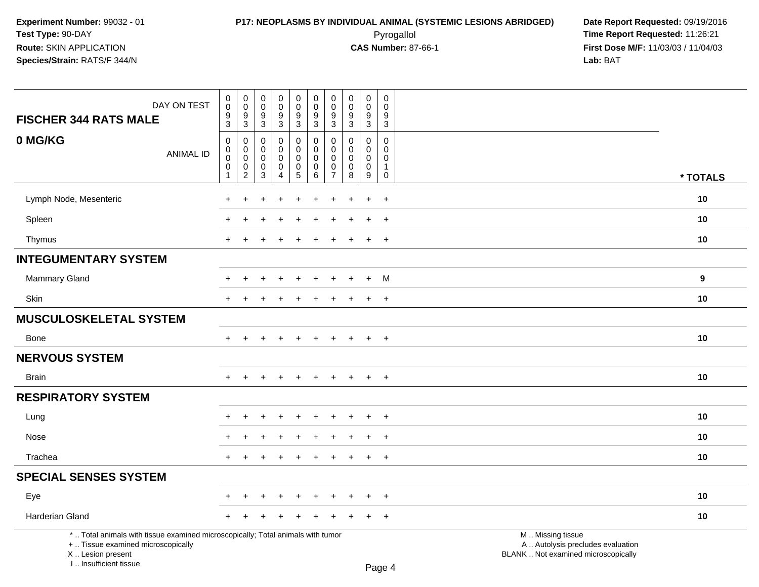I .. Insufficient tissue

 Pyrogallol **Time Report Requested:** 11:26:21 **First Dose M/F:** 11/03/03 / 11/04/03<br>**Lab:** BAT **Lab:** BAT

| DAY ON TEST<br><b>FISCHER 344 RATS MALE</b>                                                                                                | $\pmb{0}$<br>$\mathbf 0$<br>9<br>$\mathbf{3}$                                 | $\pmb{0}$<br>$\mathbf 0$<br>$\boldsymbol{9}$<br>$\sqrt{3}$               | $\pmb{0}$<br>$\pmb{0}$<br>9<br>$\sqrt{3}$ | $\pmb{0}$<br>$\pmb{0}$<br>9<br>3        | $\pmb{0}$<br>$\mathsf{O}\xspace$<br>$9\,$<br>$\mathbf{3}$                | $\mathbf 0$<br>$\mathsf{O}\xspace$<br>9<br>$\mathsf 3$ | $\pmb{0}$<br>$\pmb{0}$<br>9<br>3          | $\mathsf{O}\xspace$<br>$\mathbf 0$<br>9<br>3            | $\pmb{0}$<br>$\pmb{0}$<br>9<br>$\mathbf{3}$         | $\pmb{0}$<br>$\mathbf 0$<br>9<br>$\sqrt{3}$                 |                                                                                               |  |
|--------------------------------------------------------------------------------------------------------------------------------------------|-------------------------------------------------------------------------------|--------------------------------------------------------------------------|-------------------------------------------|-----------------------------------------|--------------------------------------------------------------------------|--------------------------------------------------------|-------------------------------------------|---------------------------------------------------------|-----------------------------------------------------|-------------------------------------------------------------|-----------------------------------------------------------------------------------------------|--|
| 0 MG/KG<br><b>ANIMAL ID</b>                                                                                                                | $\mathbf 0$<br>$\mathbf 0$<br>$\pmb{0}$<br>$\boldsymbol{0}$<br>$\overline{1}$ | $\mathbf 0$<br>$\mathbf 0$<br>$\pmb{0}$<br>$\mathbf 0$<br>$\overline{c}$ | 0<br>0<br>$\mathbf 0$<br>$\mathbf 0$<br>3 | 0<br>0<br>0<br>$\mathsf{O}\xspace$<br>4 | 0<br>$\mathbf 0$<br>$\mathbf 0$<br>$\begin{array}{c} 0 \\ 5 \end{array}$ | 0<br>$\mathbf 0$<br>$\mathbf 0$<br>$\mathbf 0$<br>6    | 0<br>$\Omega$<br>0<br>0<br>$\overline{7}$ | $\Omega$<br>$\Omega$<br>$\mathbf 0$<br>$\mathbf 0$<br>8 | $\mathbf 0$<br>$\mathbf 0$<br>0<br>$\mathbf 0$<br>9 | $\Omega$<br>0<br>$\mathbf 0$<br>$\mathbf{1}$<br>$\mathbf 0$ | * TOTALS                                                                                      |  |
| Lymph Node, Mesenteric                                                                                                                     |                                                                               |                                                                          |                                           |                                         |                                                                          |                                                        |                                           |                                                         | $\ddot{}$                                           | $\overline{+}$                                              | 10                                                                                            |  |
| Spleen                                                                                                                                     |                                                                               |                                                                          |                                           |                                         |                                                                          |                                                        |                                           |                                                         | $\ddot{}$                                           | $+$                                                         | 10                                                                                            |  |
| Thymus                                                                                                                                     | $+$                                                                           |                                                                          |                                           |                                         |                                                                          |                                                        |                                           |                                                         | $\ddot{}$                                           | $+$                                                         | 10                                                                                            |  |
| <b>INTEGUMENTARY SYSTEM</b>                                                                                                                |                                                                               |                                                                          |                                           |                                         |                                                                          |                                                        |                                           |                                                         |                                                     |                                                             |                                                                                               |  |
| <b>Mammary Gland</b>                                                                                                                       |                                                                               |                                                                          |                                           |                                         |                                                                          |                                                        |                                           |                                                         | $\ddot{}$                                           | M                                                           | 9                                                                                             |  |
| Skin                                                                                                                                       |                                                                               |                                                                          |                                           |                                         |                                                                          |                                                        |                                           |                                                         | $\ddot{}$                                           | $\ddot{}$                                                   | 10                                                                                            |  |
| <b>MUSCULOSKELETAL SYSTEM</b>                                                                                                              |                                                                               |                                                                          |                                           |                                         |                                                                          |                                                        |                                           |                                                         |                                                     |                                                             |                                                                                               |  |
| <b>Bone</b>                                                                                                                                | $+$                                                                           | $\ddot{}$                                                                |                                           | $\ddot{}$                               | $\ddot{}$                                                                | $\ddot{}$                                              | $\ddot{}$                                 | $\pm$                                                   | $\ddot{}$                                           | $+$                                                         | 10                                                                                            |  |
| <b>NERVOUS SYSTEM</b>                                                                                                                      |                                                                               |                                                                          |                                           |                                         |                                                                          |                                                        |                                           |                                                         |                                                     |                                                             |                                                                                               |  |
| <b>Brain</b>                                                                                                                               | $\pm$                                                                         | $\div$                                                                   |                                           | $\ddot{}$                               | $\ddot{}$                                                                | $\overline{+}$                                         | $\ddot{}$                                 | $\pm$                                                   | $\overline{+}$                                      | $+$                                                         | 10                                                                                            |  |
| <b>RESPIRATORY SYSTEM</b>                                                                                                                  |                                                                               |                                                                          |                                           |                                         |                                                                          |                                                        |                                           |                                                         |                                                     |                                                             |                                                                                               |  |
| Lung                                                                                                                                       |                                                                               |                                                                          |                                           |                                         |                                                                          |                                                        |                                           |                                                         |                                                     | $\ddot{}$                                                   | 10                                                                                            |  |
| Nose                                                                                                                                       |                                                                               |                                                                          |                                           |                                         |                                                                          |                                                        |                                           |                                                         |                                                     | $\overline{+}$                                              | 10                                                                                            |  |
| Trachea                                                                                                                                    | $\pm$                                                                         |                                                                          |                                           |                                         | ٠                                                                        |                                                        |                                           |                                                         | $\ddot{}$                                           | $+$                                                         | 10                                                                                            |  |
| <b>SPECIAL SENSES SYSTEM</b>                                                                                                               |                                                                               |                                                                          |                                           |                                         |                                                                          |                                                        |                                           |                                                         |                                                     |                                                             |                                                                                               |  |
| Eye                                                                                                                                        |                                                                               |                                                                          |                                           |                                         |                                                                          |                                                        |                                           |                                                         |                                                     | $\overline{+}$                                              | 10                                                                                            |  |
| Harderian Gland                                                                                                                            |                                                                               |                                                                          |                                           |                                         |                                                                          |                                                        |                                           |                                                         |                                                     | $\overline{+}$                                              | 10                                                                                            |  |
| *  Total animals with tissue examined microscopically; Total animals with tumor<br>+  Tissue examined microscopically<br>X  Lesion present |                                                                               |                                                                          |                                           |                                         |                                                                          |                                                        |                                           |                                                         |                                                     |                                                             | M  Missing tissue<br>A  Autolysis precludes evaluation<br>BLANK  Not examined microscopically |  |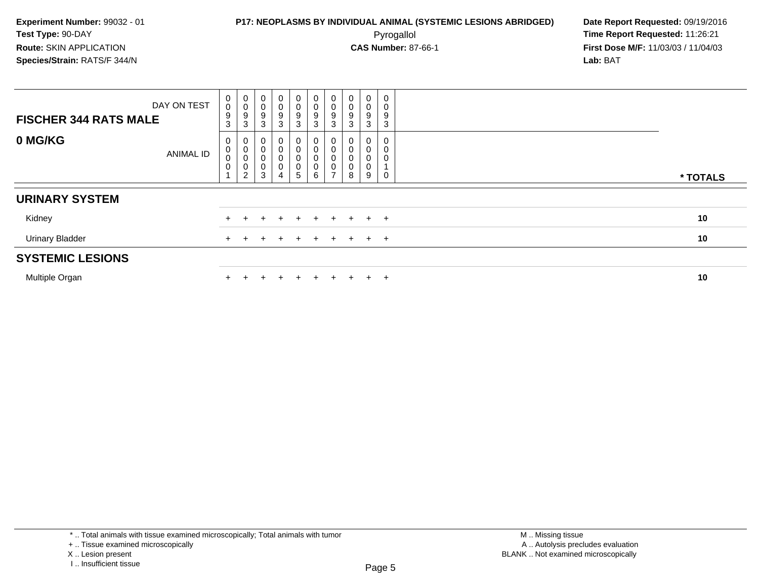| DAY ON TEST<br><b>FISCHER 344 RATS MALE</b> | 0<br>0<br>$\boldsymbol{9}$<br>3 | $\begin{matrix} 0 \\ 0 \\ 9 \\ 3 \end{matrix}$               | $\begin{smallmatrix}0\0\0\9\end{smallmatrix}$<br>$\mathbf{3}$ | $\begin{smallmatrix}0\0\0\9\end{smallmatrix}$<br>3                                        | $\mathbf{0}$<br>$\mathbf 0$<br>$\boldsymbol{9}$<br>$\mathbf{3}$ | 0<br>$\pmb{0}$<br>$\boldsymbol{9}$<br>3  | $_0^0$<br>$\boldsymbol{9}$<br>$\sqrt{3}$                                        | 0<br>0<br>9<br>3 | 0<br>$\mathsf 0$<br>$\boldsymbol{9}$<br>$\mathbf{3}$ | 0<br>$\pmb{0}$<br>$\boldsymbol{9}$<br>3         |          |
|---------------------------------------------|---------------------------------|--------------------------------------------------------------|---------------------------------------------------------------|-------------------------------------------------------------------------------------------|-----------------------------------------------------------------|------------------------------------------|---------------------------------------------------------------------------------|------------------|------------------------------------------------------|-------------------------------------------------|----------|
| 0 MG/KG<br>ANIMAL ID                        | 0<br>0<br>0<br>0                | $\begin{matrix} 0 \\ 0 \\ 0 \\ 0 \end{matrix}$<br>$\sqrt{2}$ | 0<br>$\mathbf 0$<br>$\pmb{0}$<br>$\pmb{0}$<br>3               | $\pmb{0}$<br>$\pmb{0}$<br>$\begin{matrix} 0 \\ 0 \end{matrix}$<br>$\overline{\mathbf{4}}$ | 0<br>$\pmb{0}$<br>$\,0\,$<br>$\pmb{0}$<br>5                     | $\pmb{0}$<br>$\pmb{0}$<br>$\pmb{0}$<br>6 | 0<br>$\pmb{0}$<br>$\begin{smallmatrix}0\0\0\end{smallmatrix}$<br>$\overline{ }$ | 0<br>0<br>0<br>8 | 0<br>$\pmb{0}$<br>$\pmb{0}$<br>$\pmb{0}$<br>9        | $\boldsymbol{0}$<br>$\pmb{0}$<br>$\pmb{0}$<br>0 | * TOTALS |
| <b>URINARY SYSTEM</b>                       |                                 |                                                              |                                                               |                                                                                           |                                                                 |                                          |                                                                                 |                  |                                                      |                                                 |          |
| Kidney                                      |                                 |                                                              |                                                               | $+$                                                                                       | $\ddot{}$                                                       | $+$                                      | $+$                                                                             | $+$              |                                                      | $+$ $+$                                         | 10       |
| <b>Urinary Bladder</b>                      |                                 |                                                              |                                                               | ÷                                                                                         | $\pm$                                                           | $+$                                      | $+$                                                                             | $+$              |                                                      | $+$ $+$                                         | 10       |
| <b>SYSTEMIC LESIONS</b>                     |                                 |                                                              |                                                               |                                                                                           |                                                                 |                                          |                                                                                 |                  |                                                      |                                                 |          |
| Multiple Organ                              |                                 |                                                              |                                                               | ÷                                                                                         | $\div$                                                          | $+$                                      | $+$                                                                             | ÷.               | $+$                                                  | $\pm$                                           | 10       |

<sup>\* ..</sup> Total animals with tissue examined microscopically; Total animals with tumor

<sup>+ ..</sup> Tissue examined microscopically

X .. Lesion present

I .. Insufficient tissue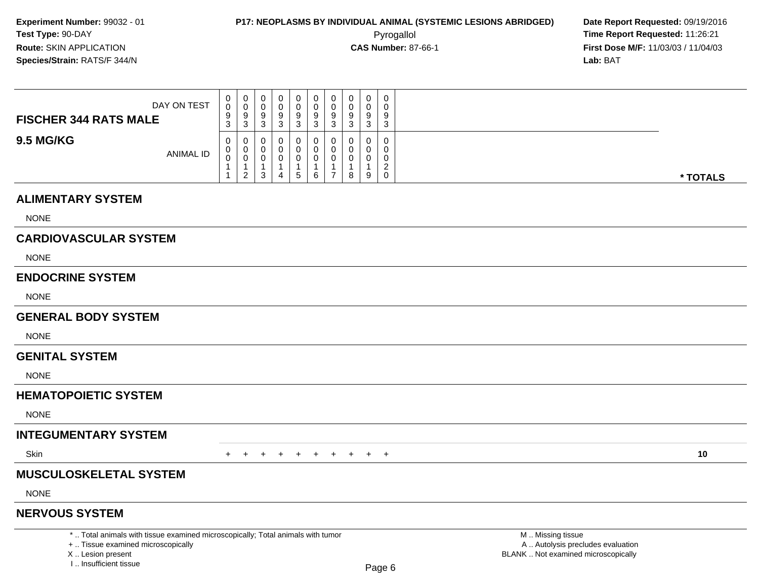**First Dose M/F:** 11/03/03 / 11/04/03<br>**Lab:** BAT **Lab:** BAT

| DAY ON TEST<br><b>FISCHER 344 RATS MALE</b> | 0<br>$\Omega$<br>$\Omega$<br>ູ<br>$\sim$<br>J. | 0<br>v<br>3    | U<br>ν<br>9<br>ა      | U<br>9<br>J | 0<br>9<br>3 | 0<br>0<br>9<br>$\mathbf{r}$<br>◡ | a<br>ັບ | ν<br>P | 0<br>U<br>9<br>3 | $\mathbf 0$<br>0<br>9<br>3                                         |
|---------------------------------------------|------------------------------------------------|----------------|-----------------------|-------------|-------------|----------------------------------|---------|--------|------------------|--------------------------------------------------------------------|
| <b>9.5 MG/KG</b><br><b>ANIMAL ID</b>        | 0                                              | $\overline{2}$ | U<br>U<br>u<br>ົ<br>ა |             | 0<br>. ჯე   | 0<br>0<br>0<br>6                 |         | 8      | 0<br>9           | $\mathbf{0}$<br>$\mathbf{0}$<br>0<br>◠<br><u>_</u><br>$\mathbf{0}$ |

#### **ALIMENTARY SYSTEM**

NONE

### **CARDIOVASCULAR SYSTEM**

NONE

#### **ENDOCRINE SYSTEM**

NONE

#### **GENERAL BODY SYSTEM**

**NONE** 

#### **GENITAL SYSTEM**

NONE

### **HEMATOPOIETIC SYSTEM**

NONE

### **INTEGUMENTARY SYSTEM**

**Skin** n  $+$ 

<sup>+</sup> <sup>+</sup> <sup>+</sup> <sup>+</sup> <sup>+</sup> <sup>+</sup> <sup>+</sup> <sup>+</sup> <sup>+</sup> **<sup>10</sup>**

### **MUSCULOSKELETAL SYSTEM**

NONE

#### **NERVOUS SYSTEM**

\* .. Total animals with tissue examined microscopically; Total animals with tumor

+ .. Tissue examined microscopically

X .. Lesion present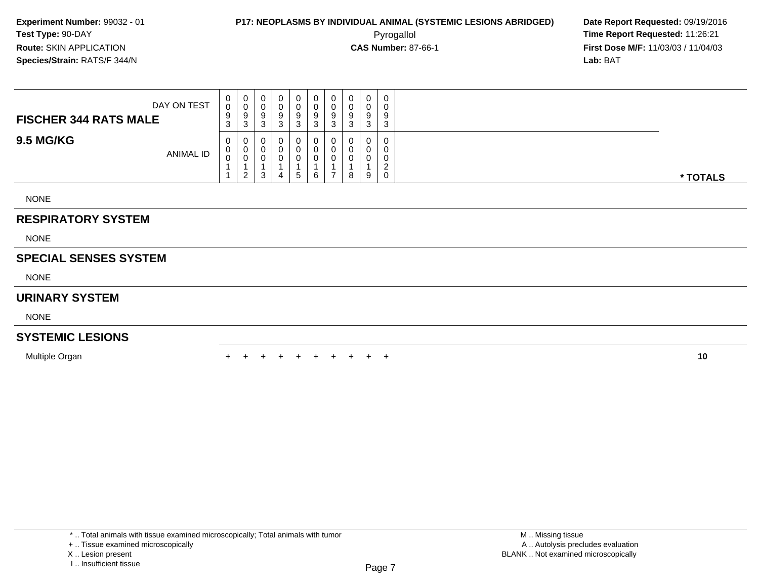**First Dose M/F:** 11/03/03 / 11/04/03<br>**Lab:** BAT **Lab:** BAT

| <b>RESPIRATORY SYSTEM</b>    |             |                  |                  |                  |                  |             |                             |                             |                  |                  |                            |          |
|------------------------------|-------------|------------------|------------------|------------------|------------------|-------------|-----------------------------|-----------------------------|------------------|------------------|----------------------------|----------|
| <b>NONE</b>                  |             |                  |                  |                  |                  |             |                             |                             |                  |                  |                            |          |
| <b>9.5 MG/KG</b>             | ANIMAL ID   | 0<br>0<br>0      | 0<br>0<br>0<br>2 | 0<br>U<br>υ<br>3 | 0<br>0<br>0<br>4 | 5           | 0<br>6                      | 0<br>0                      | 0<br>0<br>υ<br>8 | 0<br>0<br>0<br>9 | 0<br>0<br>0<br>ົ<br>∠<br>0 | * TOTALS |
| <b>FISCHER 344 RATS MALE</b> | DAY ON TEST | 0<br>0<br>9<br>3 | 0<br>0<br>9<br>3 | 0<br>U<br>9<br>3 | 0<br>0<br>9<br>3 | 0<br>9<br>3 | $\mathbf{0}$<br>U<br>9<br>3 | $\mathbf{0}$<br>0<br>9<br>3 | U<br>U<br>9<br>3 | 0<br>0<br>9<br>3 | 0<br>0<br>9<br>3           |          |

NONE

#### **SPECIAL SENSES SYSTEM**

NONE

#### **URINARY SYSTEM**

NONE

#### **SYSTEMIC LESIONS**

Multiple Organn  $+$ 

<sup>+</sup> <sup>+</sup> <sup>+</sup> <sup>+</sup> <sup>+</sup> <sup>+</sup> <sup>+</sup> <sup>+</sup> <sup>+</sup> **<sup>10</sup>**

X .. Lesion present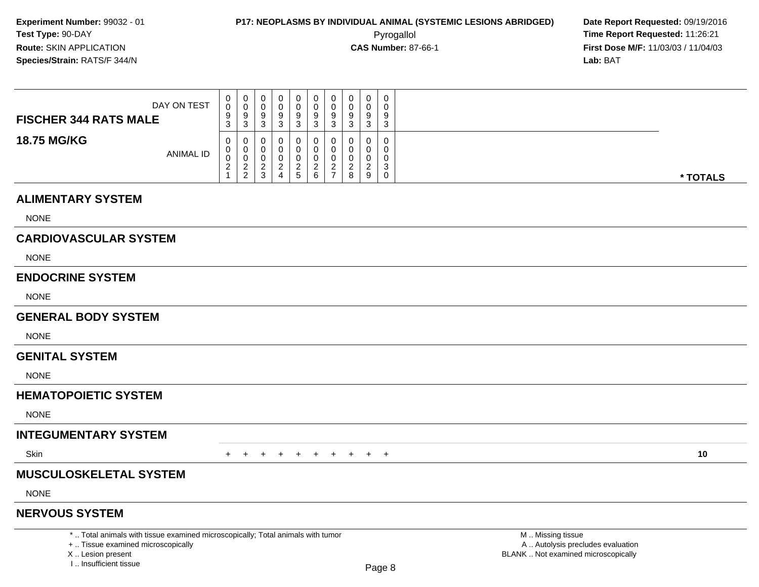**First Dose M/F:** 11/03/03 / 11/04/03<br>**Lab:** BAT **Lab:** BAT

| DAY ON TEST<br><b>FISCHER 344 RATS MALE</b> | 0<br>0<br>9<br>3                          | 0<br>0<br>9<br><sup>o</sup><br>ັ                  | v<br>ື      | U<br>S<br>ົ | 0<br>9<br>đ      | U<br>У | 0<br>υ<br>9<br>ີ<br>J |          | $\mathbf 0$<br>9<br>3                     |
|---------------------------------------------|-------------------------------------------|---------------------------------------------------|-------------|-------------|------------------|--------|-----------------------|----------|-------------------------------------------|
| <b>18.75 MG/KG</b><br>ANIMAL ID             | $\mathbf{0}$<br>0<br>0<br>2<br>$\epsilon$ | 0<br>0<br>υ<br><sup>o</sup><br><u>_</u><br>$\sim$ | u<br>ν<br>ື | U<br>ت      | U<br>0<br>⌒<br>6 | -      | υ<br>υ<br>υ<br>c<br>8 | <u>_</u> | $\mathbf 0$<br>0<br>0<br>3<br>$\mathbf 0$ |

#### **ALIMENTARY SYSTEM**

NONE

### **CARDIOVASCULAR SYSTEM**

NONE

#### **ENDOCRINE SYSTEM**

NONE

#### **GENERAL BODY SYSTEM**

**NONE** 

#### **GENITAL SYSTEM**

NONE

### **HEMATOPOIETIC SYSTEM**

NONE

### **INTEGUMENTARY SYSTEM**

**Skin** n  $+$ 

<sup>+</sup> <sup>+</sup> <sup>+</sup> <sup>+</sup> <sup>+</sup> <sup>+</sup> <sup>+</sup> <sup>+</sup> <sup>+</sup> **<sup>10</sup>**

### **MUSCULOSKELETAL SYSTEM**

NONE

#### **NERVOUS SYSTEM**

\* .. Total animals with tissue examined microscopically; Total animals with tumor

+ .. Tissue examined microscopically

X .. Lesion present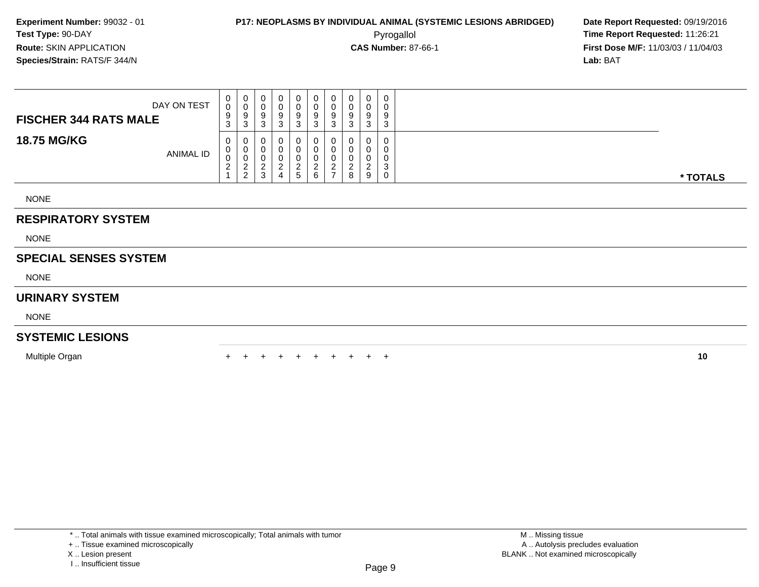**First Dose M/F:** 11/03/03 / 11/04/03<br>**Lab:** BAT **Lab:** BAT

| DAY ON TEST<br><b>FISCHER 344 RATS MALE</b> | $\overline{0}$<br>$\overline{0}$<br>9<br>3     | $\mathbf{0}$<br>0<br>9<br>3                              | 0<br>υ<br>9<br>3      | 0<br>υ<br>9<br>n<br>ື |          | $\overline{0}$<br>0<br>9<br>3 | 0<br>U<br>9        | 0<br>0<br>9<br>3 | U<br>υ<br>9<br>ີ<br>د | 0<br>0<br>9<br>3                          |          |
|---------------------------------------------|------------------------------------------------|----------------------------------------------------------|-----------------------|-----------------------|----------|-------------------------------|--------------------|------------------|-----------------------|-------------------------------------------|----------|
| <b>18.75 MG/KG</b><br>ANIMAL ID             | $\mathbf{0}$<br>0<br>0<br>$\sim$<br>$\epsilon$ | $\mathbf{0}$<br>$\mathbf 0$<br>0<br>ົ<br>$\epsilon$<br>2 | 0<br>0<br>υ<br>ົ<br>3 | υ<br>υ<br>υ<br>4      | 0<br>. 5 | 0<br>0<br>0<br>ົ<br>6         | 0<br>0<br><u>.</u> | 0<br>0<br>0<br>8 | U<br>U<br>9           | 0<br>$\mathbf 0$<br>0<br>3<br>$\mathbf 0$ | * TOTALS |
| <b>NONE</b>                                 |                                                |                                                          |                       |                       |          |                               |                    |                  |                       |                                           |          |

#### **RESPIRATORY SYSTEM**

NONE

#### **SPECIAL SENSES SYSTEM**

NONE

#### **URINARY SYSTEM**

NONE

#### **SYSTEMIC LESIONS**

Multiple Organn  $+$ 

<sup>+</sup> <sup>+</sup> <sup>+</sup> <sup>+</sup> <sup>+</sup> <sup>+</sup> <sup>+</sup> <sup>+</sup> <sup>+</sup> **<sup>10</sup>**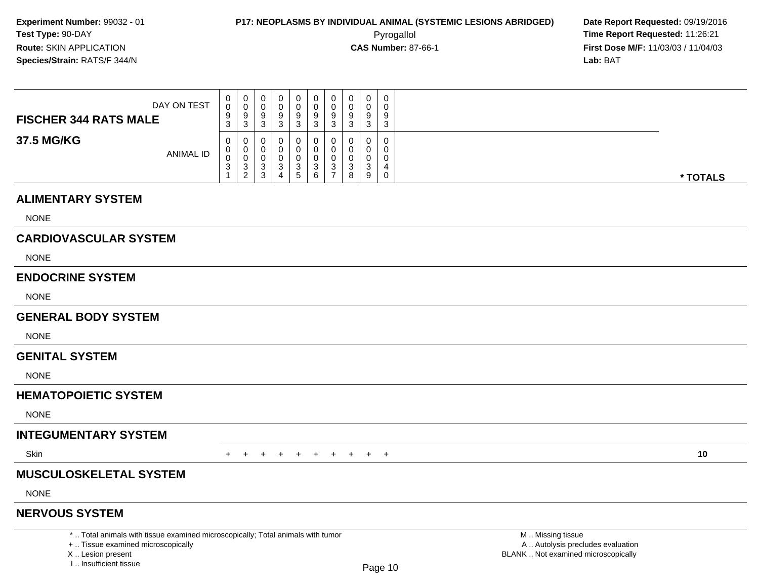**First Dose M/F:** 11/03/03 / 11/04/03<br>**Lab:** BAT **Lab:** BAT

| DAY ON TEST<br><b>FISCHER 344 RATS MALE</b> | $\mathbf{0}$<br>$\mathbf 0$<br>9<br>3 | U<br>v<br>9<br>ົ<br>C.           | - 0<br>9<br>-3                 |   |              | 0<br>9<br>3      | 0<br>9<br>ن. | U<br>◡<br>9<br>-3 | 0<br>0<br>9<br>ີ<br>◡                     | 0<br>9<br>3 |
|---------------------------------------------|---------------------------------------|----------------------------------|--------------------------------|---|--------------|------------------|--------------|-------------------|-------------------------------------------|-------------|
| 37.5 MG/KG<br>ANIMAL ID                     | 0<br>$\mathbf 0$<br>0<br>3            | 0<br>υ<br>◡<br>ົ<br>C.<br>$\sim$ | 0<br>0<br>U.<br>≏<br>- 0<br>-3 | 4 | $\mathbf{r}$ | 0<br>っ<br>ت<br>6 | $\Omega$     | 0<br>د.           | $\mathbf 0$<br>0<br>0<br>$\sim$<br>ັ<br>9 | $\mathbf 0$ |

#### **ALIMENTARY SYSTEM**

NONE

#### **CARDIOVASCULAR SYSTEM**

NONE

#### **ENDOCRINE SYSTEM**

NONE

#### **GENERAL BODY SYSTEM**

**NONE** 

#### **GENITAL SYSTEM**

NONE

### **HEMATOPOIETIC SYSTEM**

NONE

### **INTEGUMENTARY SYSTEM**

**Skin** n  $+$ 

<sup>+</sup> <sup>+</sup> <sup>+</sup> <sup>+</sup> <sup>+</sup> <sup>+</sup> <sup>+</sup> <sup>+</sup> <sup>+</sup> **<sup>10</sup>**

### **MUSCULOSKELETAL SYSTEM**

NONE

#### **NERVOUS SYSTEM**

\* .. Total animals with tissue examined microscopically; Total animals with tumor

+ .. Tissue examined microscopically

X .. Lesion present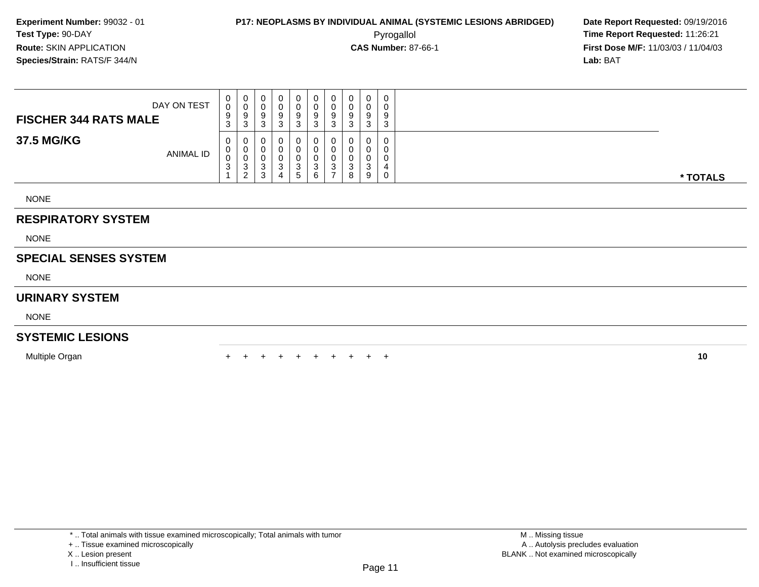Pyrogallol **Time Report Requested:** 11:26:21 **First Dose M/F:** 11/03/03 / 11/04/03<br>**Lab:** BAT **Lab:** BAT

| 0<br>0<br>$\cup$<br>U<br>υ<br>◡<br>DAY ON TEST<br>0<br>0<br>v<br>u<br>9<br>9<br>$\circ$<br>9<br>9<br>9<br><b>FISCHER 344 RATS MALE</b><br>$\sim$<br>3<br>3<br>n<br>J<br>J<br>N<br>ٮ     |
|-----------------------------------------------------------------------------------------------------------------------------------------------------------------------------------------|
| 37.5 MG/KG<br>0<br>0<br>0<br>0<br>0<br>U<br>U<br>υ<br>0<br>U<br>U<br>υ<br><b>ANIMAL ID</b><br>0<br>0<br>◡<br>$\sim$<br>3<br>$\sim$<br>د.<br>- ၁<br>ບ<br>ັ<br>-<br>ົ<br>9<br>8<br>6<br>b |

NONE

#### **RESPIRATORY SYSTEM**

NONE

#### **SPECIAL SENSES SYSTEM**

NONE

#### **URINARY SYSTEM**

NONE

#### **SYSTEMIC LESIONS**

Multiple Organn  $+$ 

<sup>+</sup> <sup>+</sup> <sup>+</sup> <sup>+</sup> <sup>+</sup> <sup>+</sup> <sup>+</sup> <sup>+</sup> <sup>+</sup> **<sup>10</sup>**

X .. Lesion present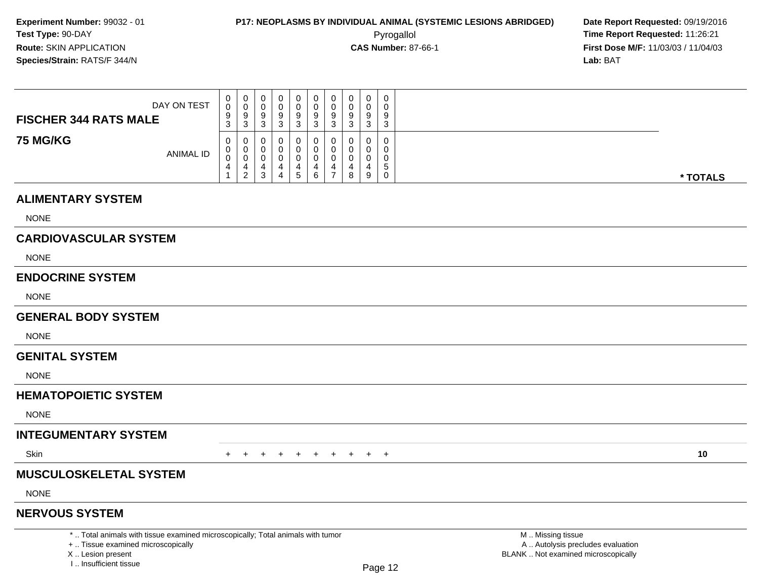**First Dose M/F:** 11/03/03 / 11/04/03<br>**Lab:** BAT **Lab:** BAT

| DAY ON TEST<br><b>FISCHER 344 RATS MALE</b> | 0<br>0<br>9<br>$\sim$<br>◡ | ◡<br>- 0<br>- | $\mathbf{0}$<br>v<br>9<br>⌒<br>ۍ | v<br>చ<br>ົ | $\mathbf{0}$<br>9<br>3   | 0<br>υ<br>9<br>ົ<br>ບ | 0<br>υ<br>a<br>◡<br>ົ<br>J | ັ | 0<br>$\Omega$<br>3 | 0<br>0<br>9<br>3      |          |
|---------------------------------------------|----------------------------|---------------|----------------------------------|-------------|--------------------------|-----------------------|----------------------------|---|--------------------|-----------------------|----------|
| <b>75 MG/KG</b><br>ANIMAL ID                | 0<br>0<br>0                | ◡             | v<br>υ<br>◡<br>3                 | U<br>4      | U<br>-0<br>0<br>4<br>. 5 | U<br>υ<br>U<br>6      | v<br>v                     | 8 | 0<br>U<br>9        | 0<br>0<br>0<br>5<br>0 | * TOTALS |

#### **ALIMENTARY SYSTEM**

NONE

#### **CARDIOVASCULAR SYSTEM**

NONE

#### **ENDOCRINE SYSTEM**

NONE

#### **GENERAL BODY SYSTEM**

**NONE** 

#### **GENITAL SYSTEM**

NONE

#### **HEMATOPOIETIC SYSTEM**

NONE

### **INTEGUMENTARY SYSTEM**

**Skin** n  $+$ 

<sup>+</sup> <sup>+</sup> <sup>+</sup> <sup>+</sup> <sup>+</sup> <sup>+</sup> <sup>+</sup> <sup>+</sup> <sup>+</sup> **<sup>10</sup>**

### **MUSCULOSKELETAL SYSTEM**

NONE

#### **NERVOUS SYSTEM**

\* .. Total animals with tissue examined microscopically; Total animals with tumor

+ .. Tissue examined microscopically

X .. Lesion present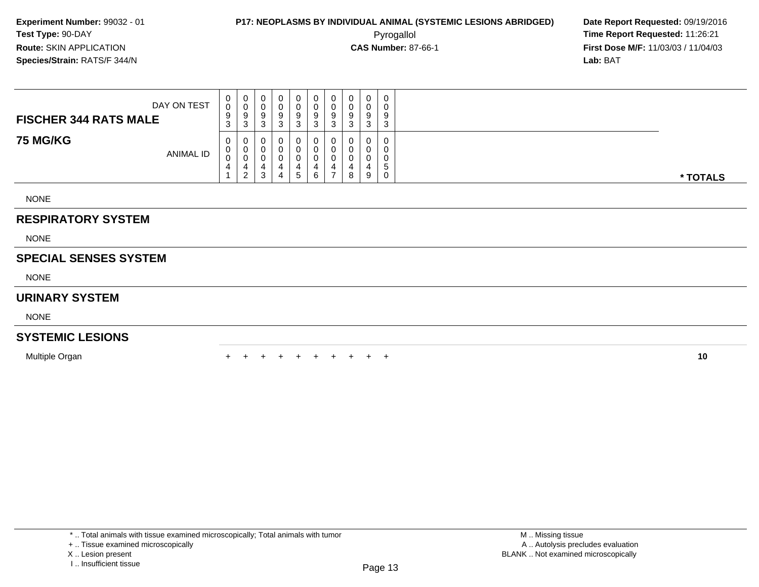**First Dose M/F:** 11/03/03 / 11/04/03<br>**Lab:** BAT **Lab:** BAT

| DAY ON TEST<br><b>FISCHER 344 RATS MALE</b> | v.<br>9<br>$\sim$<br>J | 0<br>9<br>$\sim$<br>ు | U<br>9<br>⌒<br>ు | 0<br>9<br>ు | 0<br>9<br>3        | 0<br>0<br>9<br>3      | 9<br>3 | v<br>9<br>$\sim$<br>P | 0<br>$\sqrt{2}$<br>U<br>9<br>3 | 0<br>0<br>9<br>3      |          |
|---------------------------------------------|------------------------|-----------------------|------------------|-------------|--------------------|-----------------------|--------|-----------------------|--------------------------------|-----------------------|----------|
| <b>75 MG/KG</b><br><b>ANIMAL ID</b>         | U                      | າ<br>∠                | U<br>U<br>U<br>3 | 4           | $\Omega$<br>4<br>5 | 0<br>0<br>0<br>4<br>6 |        | 4<br>8                | 0<br>$\sim$<br>U<br>9          | 0<br>0<br>0<br>5<br>0 | * TOTALS |
| <b>NONE</b>                                 |                        |                       |                  |             |                    |                       |        |                       |                                |                       |          |

#### **RESPIRATORY SYSTEM**

NONE

#### **SPECIAL SENSES SYSTEM**

NONE

#### **URINARY SYSTEM**

NONE

#### **SYSTEMIC LESIONS**

Multiple Organn  $+$ 

<sup>+</sup> <sup>+</sup> <sup>+</sup> <sup>+</sup> <sup>+</sup> <sup>+</sup> <sup>+</sup> <sup>+</sup> <sup>+</sup> **<sup>10</sup>**

X .. Lesion present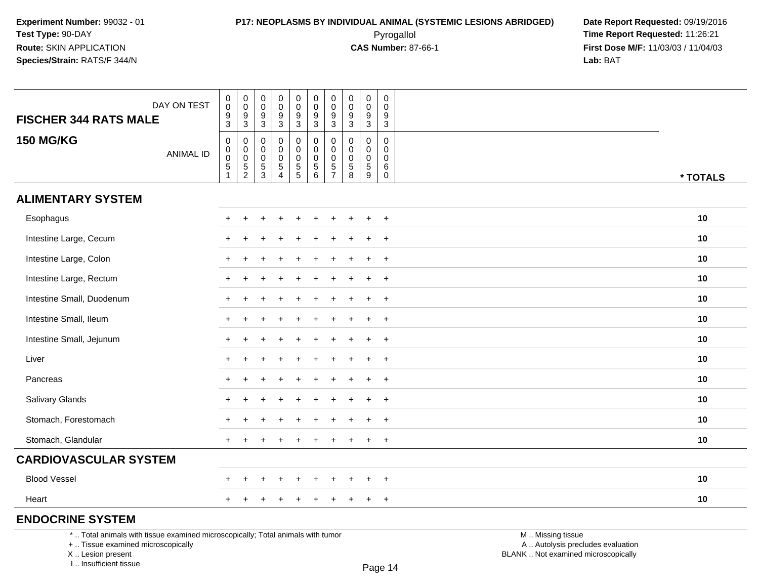Pyrogallol **Time Report Requested:** 11:26:21 **First Dose M/F:** 11/03/03 / 11/04/03<br>**Lab:** BAT **Lab:** BAT

| DAY ON TEST<br><b>FISCHER 344 RATS MALE</b>                                     | $\pmb{0}$<br>$\pmb{0}$<br>$\boldsymbol{9}$                                   | $\pmb{0}$<br>$\pmb{0}$<br>$\boldsymbol{9}$        | $\mathbf 0$<br>$\boldsymbol{0}$<br>$\boldsymbol{9}$ | $\mathbf 0$<br>$\mathbf 0$<br>9                  | 0<br>$\mathbf 0$<br>9        | $\pmb{0}$<br>$\ddot{\mathbf{0}}$<br>$\boldsymbol{9}$     | $\pmb{0}$<br>$\mathbf 0$<br>9                       | $\pmb{0}$<br>0<br>9             | $\pmb{0}$<br>$\mathbf 0$<br>$\boldsymbol{9}$                       | 0<br>$\mathbf 0$<br>9               |                   |          |
|---------------------------------------------------------------------------------|------------------------------------------------------------------------------|---------------------------------------------------|-----------------------------------------------------|--------------------------------------------------|------------------------------|----------------------------------------------------------|-----------------------------------------------------|---------------------------------|--------------------------------------------------------------------|-------------------------------------|-------------------|----------|
|                                                                                 | $\overline{3}$                                                               | $\sqrt{3}$                                        | $\mathsf 3$                                         | $\sqrt{3}$                                       | 3                            | $\mathbf{3}$                                             | 3                                                   | $\sqrt{3}$                      | $\sqrt{3}$                                                         | $\sqrt{3}$                          |                   |          |
| <b>150 MG/KG</b><br><b>ANIMAL ID</b>                                            | $\pmb{0}$<br>$\pmb{0}$<br>$\ddot{\mathbf{0}}$<br>$\,$ 5 $\,$<br>$\mathbf{1}$ | 0<br>$\pmb{0}$<br>$\overline{0}$<br>$\frac{5}{2}$ | $\mathbf 0$<br>0<br>$\pmb{0}$<br>$\frac{5}{3}$      | $\mathbf 0$<br>$\mathbf 0$<br>0<br>$\frac{5}{4}$ | 0<br>0<br>0<br>$\frac{5}{5}$ | $\pmb{0}$<br>$\mathsf 0$<br>$\mathsf 0$<br>$\frac{5}{6}$ | 0<br>$\mathbf 0$<br>$\Omega$<br>5<br>$\overline{7}$ | 0<br>0<br>0<br>$\,$ 5 $\,$<br>8 | $\mathbf 0$<br>0<br>$\mathbf 0$<br>$\,$ 5 $\,$<br>$\boldsymbol{9}$ | 0<br>0<br>0<br>$\,6$<br>$\mathbf 0$ |                   | * TOTALS |
| <b>ALIMENTARY SYSTEM</b>                                                        |                                                                              |                                                   |                                                     |                                                  |                              |                                                          |                                                     |                                 |                                                                    |                                     |                   |          |
| Esophagus                                                                       | $+$                                                                          | $\ddot{}$                                         |                                                     |                                                  |                              |                                                          |                                                     |                                 |                                                                    | $+$                                 |                   | 10       |
| Intestine Large, Cecum                                                          |                                                                              |                                                   |                                                     |                                                  |                              |                                                          |                                                     |                                 |                                                                    | $+$                                 |                   | 10       |
| Intestine Large, Colon                                                          |                                                                              |                                                   |                                                     |                                                  |                              |                                                          |                                                     |                                 |                                                                    | $+$                                 |                   | 10       |
| Intestine Large, Rectum                                                         | $\pm$                                                                        |                                                   |                                                     |                                                  |                              |                                                          |                                                     |                                 |                                                                    | $\overline{+}$                      |                   | 10       |
| Intestine Small, Duodenum                                                       |                                                                              |                                                   |                                                     |                                                  |                              |                                                          |                                                     |                                 |                                                                    | $+$                                 |                   | 10       |
| Intestine Small, Ileum                                                          | $+$                                                                          |                                                   |                                                     |                                                  |                              |                                                          |                                                     |                                 | $\ddot{}$                                                          | $\ddot{}$                           |                   | 10       |
| Intestine Small, Jejunum                                                        | $\pm$                                                                        |                                                   |                                                     |                                                  |                              |                                                          |                                                     |                                 |                                                                    | $\overline{+}$                      |                   | 10       |
| Liver                                                                           |                                                                              |                                                   |                                                     |                                                  |                              |                                                          |                                                     |                                 |                                                                    | $\overline{+}$                      |                   | 10       |
| Pancreas                                                                        | $+$                                                                          |                                                   |                                                     |                                                  |                              |                                                          |                                                     |                                 |                                                                    | $+$                                 |                   | 10       |
| Salivary Glands                                                                 |                                                                              |                                                   |                                                     |                                                  |                              |                                                          |                                                     |                                 |                                                                    | $\overline{+}$                      |                   | 10       |
| Stomach, Forestomach                                                            |                                                                              |                                                   |                                                     |                                                  |                              |                                                          |                                                     |                                 |                                                                    | $\ddot{}$                           |                   | 10       |
| Stomach, Glandular                                                              | $+$                                                                          |                                                   |                                                     |                                                  |                              |                                                          |                                                     |                                 | $+$                                                                | $+$                                 |                   | 10       |
| <b>CARDIOVASCULAR SYSTEM</b>                                                    |                                                                              |                                                   |                                                     |                                                  |                              |                                                          |                                                     |                                 |                                                                    |                                     |                   |          |
| <b>Blood Vessel</b>                                                             |                                                                              |                                                   |                                                     |                                                  |                              |                                                          |                                                     |                                 |                                                                    | $\ddot{}$                           |                   | 10       |
| Heart                                                                           | $+$                                                                          |                                                   |                                                     |                                                  |                              |                                                          | $\div$                                              | $\ddot{}$                       | $+$                                                                | $+$                                 |                   | 10       |
| <b>ENDOCRINE SYSTEM</b>                                                         |                                                                              |                                                   |                                                     |                                                  |                              |                                                          |                                                     |                                 |                                                                    |                                     |                   |          |
| *  Total animals with tissue examined microscopically; Total animals with tumor |                                                                              |                                                   |                                                     |                                                  |                              |                                                          |                                                     |                                 |                                                                    |                                     | M  Missing tissue |          |

+ .. Tissue examined microscopically

X .. Lesion present

I .. Insufficient tissue

M .. Missing tissue

y the contract of the contract of the contract of the contract of the contract of  $\mathsf A$  . Autolysis precludes evaluation Lesion present BLANK .. Not examined microscopically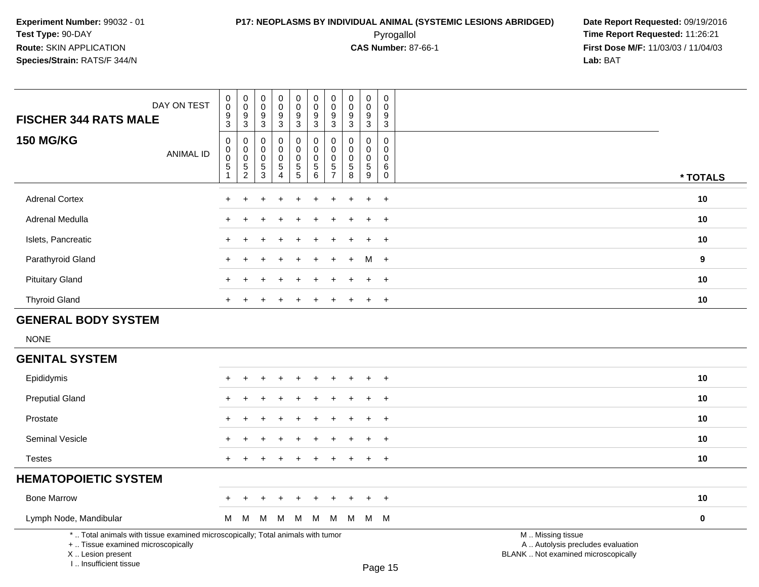## **P17: NEOPLASMS BY INDIVIDUAL ANIMAL (SYSTEMIC LESIONS ABRIDGED) Date Report Requested:** 09/19/2016 Pyrogallol **Time Report Requested:** 11:26:21

| DAY ON TEST<br><b>FISCHER 344 RATS MALE</b>                                                                                                                         | $\pmb{0}$<br>$\mathbf 0$<br>$\frac{9}{3}$                       | $\pmb{0}$<br>$\mathbf 0$<br>$\boldsymbol{9}$<br>$\mathbf{3}$                         | $\pmb{0}$<br>$\mathbf 0$<br>9<br>$\overline{3}$  | $\pmb{0}$<br>$\mathbf 0$<br>9<br>3           | $\pmb{0}$<br>$\mathbf 0$<br>$\frac{9}{3}$              | $\pmb{0}$<br>$\pmb{0}$<br>$\frac{9}{3}$                                          | 0<br>$\mathbf 0$<br>9<br>$\mathfrak{Z}$             | 0<br>$\mathbf 0$<br>9<br>$\mathbf{3}$            | $\pmb{0}$<br>$\mathbf 0$<br>9<br>3 | $\mathbf 0$<br>$\mathbf 0$<br>9<br>$\mathbf{3}$    |                                                                                               |             |
|---------------------------------------------------------------------------------------------------------------------------------------------------------------------|-----------------------------------------------------------------|--------------------------------------------------------------------------------------|--------------------------------------------------|----------------------------------------------|--------------------------------------------------------|----------------------------------------------------------------------------------|-----------------------------------------------------|--------------------------------------------------|------------------------------------|----------------------------------------------------|-----------------------------------------------------------------------------------------------|-------------|
| <b>150 MG/KG</b><br><b>ANIMAL ID</b>                                                                                                                                | $\mathbf 0$<br>0<br>$\mathbf 0$<br>$\sqrt{5}$<br>$\overline{1}$ | $\boldsymbol{0}$<br>$\mathbf 0$<br>$\boldsymbol{0}$<br>$\mathbf 5$<br>$\overline{2}$ | $\mathbf 0$<br>$\mathbf 0$<br>0<br>$\frac{5}{3}$ | $\mathbf 0$<br>0<br>0<br>5<br>$\overline{4}$ | 0<br>$\pmb{0}$<br>$\mathsf{O}\xspace$<br>$\frac{5}{5}$ | $\mathbf 0$<br>$\pmb{0}$<br>$\mathbf 0$<br>$\begin{array}{c} 5 \\ 6 \end{array}$ | 0<br>$\Omega$<br>$\mathbf 0$<br>5<br>$\overline{7}$ | $\mathbf 0$<br>$\Omega$<br>$\mathbf 0$<br>5<br>8 | 0<br>0<br>0<br>$\overline{5}$<br>9 | $\mathbf 0$<br>$\mathbf{0}$<br>0<br>6<br>$\pmb{0}$ |                                                                                               | * TOTALS    |
| <b>Adrenal Cortex</b>                                                                                                                                               | $\ddot{}$                                                       | ÷                                                                                    |                                                  |                                              |                                                        |                                                                                  |                                                     |                                                  | $\ddot{}$                          | $\ddot{}$                                          |                                                                                               | 10          |
| Adrenal Medulla                                                                                                                                                     |                                                                 |                                                                                      |                                                  |                                              |                                                        |                                                                                  |                                                     |                                                  |                                    | $\ddot{}$                                          |                                                                                               | 10          |
| Islets, Pancreatic                                                                                                                                                  |                                                                 |                                                                                      |                                                  |                                              |                                                        |                                                                                  |                                                     |                                                  |                                    | $\ddot{}$                                          |                                                                                               | 10          |
| Parathyroid Gland                                                                                                                                                   |                                                                 |                                                                                      |                                                  |                                              |                                                        |                                                                                  |                                                     |                                                  | M                                  | $+$                                                |                                                                                               | 9           |
| <b>Pituitary Gland</b>                                                                                                                                              |                                                                 |                                                                                      |                                                  |                                              |                                                        |                                                                                  |                                                     |                                                  |                                    | $\ddot{}$                                          |                                                                                               | 10          |
| <b>Thyroid Gland</b>                                                                                                                                                | +                                                               | $\ddot{}$                                                                            |                                                  | $\ddot{}$                                    | $\ddot{}$                                              | $\div$                                                                           | $\pm$                                               | $\div$                                           | $\ddot{}$                          | $+$                                                |                                                                                               | 10          |
| <b>GENERAL BODY SYSTEM</b>                                                                                                                                          |                                                                 |                                                                                      |                                                  |                                              |                                                        |                                                                                  |                                                     |                                                  |                                    |                                                    |                                                                                               |             |
| <b>NONE</b>                                                                                                                                                         |                                                                 |                                                                                      |                                                  |                                              |                                                        |                                                                                  |                                                     |                                                  |                                    |                                                    |                                                                                               |             |
| <b>GENITAL SYSTEM</b>                                                                                                                                               |                                                                 |                                                                                      |                                                  |                                              |                                                        |                                                                                  |                                                     |                                                  |                                    |                                                    |                                                                                               |             |
| Epididymis                                                                                                                                                          |                                                                 |                                                                                      |                                                  |                                              |                                                        |                                                                                  |                                                     |                                                  |                                    |                                                    |                                                                                               | 10          |
| <b>Preputial Gland</b>                                                                                                                                              |                                                                 |                                                                                      |                                                  |                                              |                                                        |                                                                                  |                                                     |                                                  |                                    | $\ddot{}$                                          |                                                                                               | 10          |
| Prostate                                                                                                                                                            |                                                                 |                                                                                      |                                                  |                                              |                                                        |                                                                                  |                                                     |                                                  |                                    | $\pm$                                              |                                                                                               | 10          |
| Seminal Vesicle                                                                                                                                                     |                                                                 |                                                                                      |                                                  |                                              |                                                        |                                                                                  |                                                     |                                                  |                                    | $\overline{+}$                                     |                                                                                               | 10          |
| <b>Testes</b>                                                                                                                                                       | $+$                                                             | $\ddot{}$                                                                            |                                                  |                                              |                                                        | $\overline{ }$                                                                   | +                                                   |                                                  | $\ddot{}$                          | $\ddot{}$                                          |                                                                                               | 10          |
| <b>HEMATOPOIETIC SYSTEM</b>                                                                                                                                         |                                                                 |                                                                                      |                                                  |                                              |                                                        |                                                                                  |                                                     |                                                  |                                    |                                                    |                                                                                               |             |
| <b>Bone Marrow</b>                                                                                                                                                  |                                                                 |                                                                                      |                                                  |                                              |                                                        |                                                                                  |                                                     |                                                  |                                    | $\div$                                             |                                                                                               | 10          |
| Lymph Node, Mandibular                                                                                                                                              | м                                                               | M                                                                                    | M                                                | M                                            | M                                                      | M                                                                                | M                                                   |                                                  | M M M                              |                                                    |                                                                                               | $\mathbf 0$ |
| *  Total animals with tissue examined microscopically; Total animals with tumor<br>+  Tissue examined microscopically<br>X  Lesion present<br>I Insufficient tissue |                                                                 |                                                                                      |                                                  |                                              |                                                        |                                                                                  |                                                     |                                                  |                                    | $D_{200}$ 15                                       | M  Missing tissue<br>A  Autolysis precludes evaluation<br>BLANK  Not examined microscopically |             |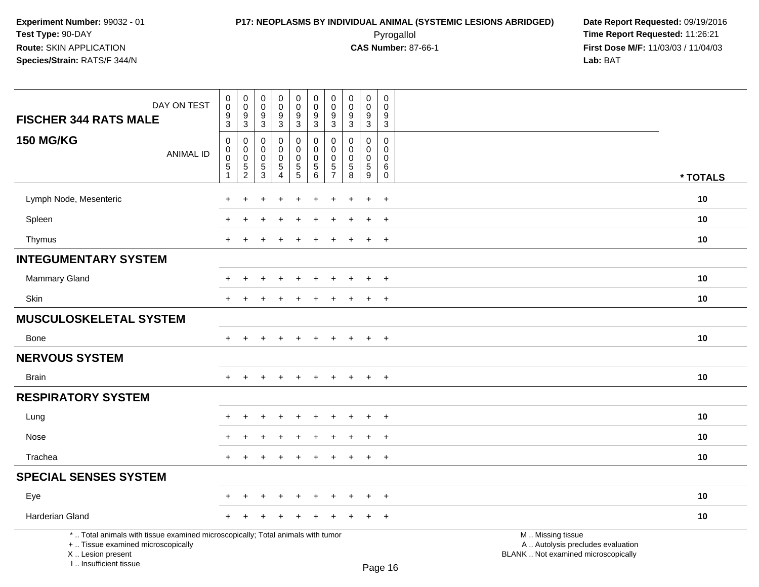I .. Insufficient tissue

 Pyrogallol **Time Report Requested:** 11:26:21 **First Dose M/F:** 11/03/03 / 11/04/03<br>**Lab:** BAT **Lab:** BAT

| DAY ON TEST<br><b>FISCHER 344 RATS MALE</b>                                                                                                | $\pmb{0}$<br>$\pmb{0}$<br>9<br>$\mathbf{3}$                             | $\pmb{0}$<br>$\mathbf 0$<br>$\boldsymbol{9}$<br>$\mathsf 3$         | $\pmb{0}$<br>$\pmb{0}$<br>9<br>$\sqrt{3}$        | $\pmb{0}$<br>$\pmb{0}$<br>9<br>3       | $\pmb{0}$<br>$\mathsf{O}\xspace$<br>$9\,$<br>$\mathbf{3}$ | $\mathbf 0$<br>$\mathsf{O}\xspace$<br>9<br>$\mathsf 3$ | $\pmb{0}$<br>$\pmb{0}$<br>9<br>3                             | $\mathsf{O}\xspace$<br>$\mathbf 0$<br>9<br>3            | $\pmb{0}$<br>$\mathsf{O}\xspace$<br>9<br>3             | $\pmb{0}$<br>$\mathbf 0$<br>9<br>$\sqrt{3}$          |                                                                                               |  |
|--------------------------------------------------------------------------------------------------------------------------------------------|-------------------------------------------------------------------------|---------------------------------------------------------------------|--------------------------------------------------|----------------------------------------|-----------------------------------------------------------|--------------------------------------------------------|--------------------------------------------------------------|---------------------------------------------------------|--------------------------------------------------------|------------------------------------------------------|-----------------------------------------------------------------------------------------------|--|
| <b>150 MG/KG</b><br><b>ANIMAL ID</b>                                                                                                       | $\mathbf 0$<br>$\mathbf 0$<br>$\pmb{0}$<br>$\sqrt{5}$<br>$\overline{1}$ | $\mathbf 0$<br>$\mathbf 0$<br>$\pmb{0}$<br>$\sqrt{5}$<br>$\sqrt{2}$ | 0<br>0<br>$\pmb{0}$<br>$\,$ 5 $\,$<br>$\sqrt{3}$ | 0<br>0<br>0<br>$5\,$<br>$\overline{4}$ | 0<br>$\mathbf 0$<br>$\mathbf 0$<br>$\frac{5}{5}$          | 0<br>$\mathbf 0$<br>$\pmb{0}$<br>$\sqrt{5}$<br>6       | 0<br>$\Omega$<br>$\mathbf 0$<br>$\sqrt{5}$<br>$\overline{7}$ | $\Omega$<br>$\Omega$<br>$\mathbf 0$<br>$\mathbf 5$<br>8 | $\mathbf 0$<br>$\mathbf 0$<br>0<br>$\overline{5}$<br>9 | $\Omega$<br>0<br>$\mathbf 0$<br>$\,6$<br>$\mathbf 0$ | * TOTALS                                                                                      |  |
| Lymph Node, Mesenteric                                                                                                                     |                                                                         |                                                                     |                                                  |                                        |                                                           |                                                        |                                                              |                                                         | $\ddot{}$                                              | $+$                                                  | 10                                                                                            |  |
| Spleen                                                                                                                                     |                                                                         |                                                                     |                                                  |                                        |                                                           |                                                        |                                                              |                                                         | $\ddot{}$                                              | $+$                                                  | 10                                                                                            |  |
| Thymus                                                                                                                                     | $+$                                                                     |                                                                     |                                                  |                                        |                                                           |                                                        |                                                              |                                                         | $\ddot{}$                                              | $+$                                                  | 10                                                                                            |  |
| <b>INTEGUMENTARY SYSTEM</b>                                                                                                                |                                                                         |                                                                     |                                                  |                                        |                                                           |                                                        |                                                              |                                                         |                                                        |                                                      |                                                                                               |  |
| <b>Mammary Gland</b>                                                                                                                       |                                                                         |                                                                     |                                                  |                                        |                                                           |                                                        |                                                              |                                                         |                                                        | $\ddot{}$                                            | 10                                                                                            |  |
| Skin                                                                                                                                       |                                                                         |                                                                     |                                                  |                                        |                                                           |                                                        |                                                              |                                                         | $\ddot{}$                                              | $\ddot{}$                                            | 10                                                                                            |  |
| <b>MUSCULOSKELETAL SYSTEM</b>                                                                                                              |                                                                         |                                                                     |                                                  |                                        |                                                           |                                                        |                                                              |                                                         |                                                        |                                                      |                                                                                               |  |
| <b>Bone</b>                                                                                                                                | $+$                                                                     | $\ddot{}$                                                           |                                                  | $\ddot{}$                              | $\ddot{}$                                                 | $\ddot{}$                                              | $\ddot{}$                                                    | $\pm$                                                   | $\ddot{}$                                              | $+$                                                  | 10                                                                                            |  |
| <b>NERVOUS SYSTEM</b>                                                                                                                      |                                                                         |                                                                     |                                                  |                                        |                                                           |                                                        |                                                              |                                                         |                                                        |                                                      |                                                                                               |  |
| <b>Brain</b>                                                                                                                               | $\pm$                                                                   | $\div$                                                              |                                                  | $\ddot{}$                              | $\ddot{}$                                                 | $\overline{+}$                                         | $\ddot{}$                                                    | $\pm$                                                   | $\overline{+}$                                         | $+$                                                  | 10                                                                                            |  |
| <b>RESPIRATORY SYSTEM</b>                                                                                                                  |                                                                         |                                                                     |                                                  |                                        |                                                           |                                                        |                                                              |                                                         |                                                        |                                                      |                                                                                               |  |
| Lung                                                                                                                                       |                                                                         |                                                                     |                                                  |                                        |                                                           |                                                        |                                                              |                                                         |                                                        | $\ddot{}$                                            | 10                                                                                            |  |
| Nose                                                                                                                                       |                                                                         |                                                                     |                                                  |                                        |                                                           |                                                        |                                                              |                                                         |                                                        | $\overline{+}$                                       | 10                                                                                            |  |
| Trachea                                                                                                                                    | $\pm$                                                                   |                                                                     |                                                  |                                        | ٠                                                         |                                                        |                                                              |                                                         | $\ddot{}$                                              | $+$                                                  | 10                                                                                            |  |
| <b>SPECIAL SENSES SYSTEM</b>                                                                                                               |                                                                         |                                                                     |                                                  |                                        |                                                           |                                                        |                                                              |                                                         |                                                        |                                                      |                                                                                               |  |
| Eye                                                                                                                                        |                                                                         |                                                                     |                                                  |                                        |                                                           |                                                        |                                                              |                                                         |                                                        | $\overline{+}$                                       | 10                                                                                            |  |
| Harderian Gland                                                                                                                            |                                                                         |                                                                     |                                                  |                                        |                                                           |                                                        |                                                              |                                                         |                                                        | $\overline{+}$                                       | 10                                                                                            |  |
| *  Total animals with tissue examined microscopically; Total animals with tumor<br>+  Tissue examined microscopically<br>X  Lesion present |                                                                         |                                                                     |                                                  |                                        |                                                           |                                                        |                                                              |                                                         |                                                        |                                                      | M  Missing tissue<br>A  Autolysis precludes evaluation<br>BLANK  Not examined microscopically |  |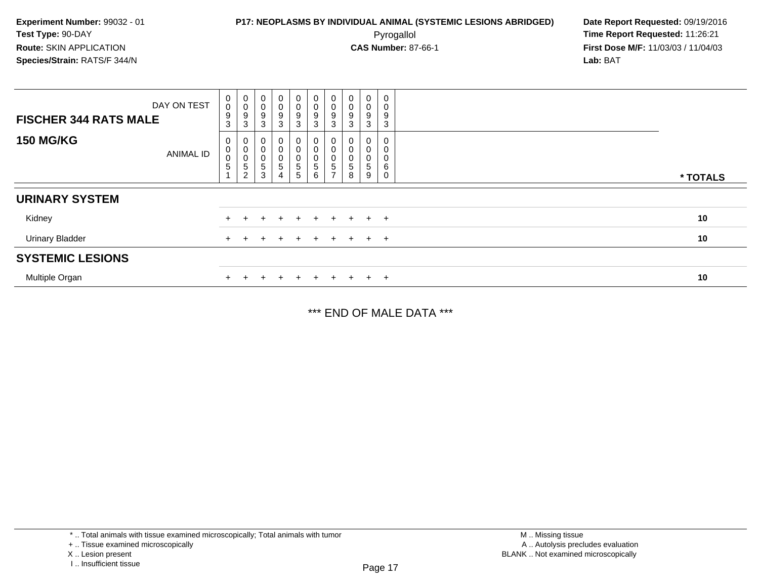**First Dose M/F:** 11/03/03 / 11/04/03<br>**Lab:** BAT **Lab:** BAT

| <b>FISCHER 344 RATS MALE</b> | DAY ON TEST      | 0<br>$\mathsf 0$<br>9<br>3 | $\begin{smallmatrix}0\0\0\9\end{smallmatrix}$<br>$\sqrt{3}$                | 0<br>$\mathbf 0$<br>9<br>3                   | $\pmb{0}$<br>$\pmb{0}$<br>$\mathsf g$<br>$\mathbf{3}$ | $\begin{smallmatrix}0\0\0\end{smallmatrix}$<br>$\boldsymbol{9}$<br>$\mathbf{3}$ | $\mathbf 0$<br>0<br>9<br>3   | $\begin{smallmatrix}0\\0\\9\end{smallmatrix}$<br>3                                                         | $\pmb{0}$<br>$\pmb{0}$<br>9<br>$\mathbf{3}$ | $\pmb{0}$<br>$\boldsymbol{0}$<br>$\boldsymbol{9}$<br>3 | 0<br>0<br>9<br>3      |          |
|------------------------------|------------------|----------------------------|----------------------------------------------------------------------------|----------------------------------------------|-------------------------------------------------------|---------------------------------------------------------------------------------|------------------------------|------------------------------------------------------------------------------------------------------------|---------------------------------------------|--------------------------------------------------------|-----------------------|----------|
| <b>150 MG/KG</b>             | <b>ANIMAL ID</b> | 0<br>$\pmb{0}$<br>0<br>5   | $\begin{smallmatrix} 0\\0 \end{smallmatrix}$<br>$\pmb{0}$<br>$\frac{5}{2}$ | 0<br>$\overline{0}$<br>$\mathbf 0$<br>5<br>3 | 0<br>0<br>$5\phantom{.0}$                             | 0<br>$\pmb{0}$<br>0<br>$\mathbf 5$<br>5                                         | 0<br>0<br>$\frac{0}{5}$<br>6 | $\begin{smallmatrix}0\\0\end{smallmatrix}$<br>$\begin{smallmatrix}0\\5\end{smallmatrix}$<br>$\overline{ }$ | 0<br>$\pmb{0}$<br>$\pmb{0}$<br>5<br>8       | 0<br>$\boldsymbol{0}$<br>$\boldsymbol{0}$<br>5<br>9    | 0<br>0<br>0<br>6<br>0 | * TOTALS |
| <b>URINARY SYSTEM</b>        |                  |                            |                                                                            |                                              |                                                       |                                                                                 |                              |                                                                                                            |                                             |                                                        |                       |          |
| Kidney                       |                  |                            |                                                                            |                                              |                                                       | $+$                                                                             | $+$                          | $+$                                                                                                        | $+$                                         |                                                        | $+$ $+$               | 10       |
| <b>Urinary Bladder</b>       |                  |                            |                                                                            |                                              |                                                       | $\pm$                                                                           | $+$                          | $+$                                                                                                        | $+$                                         |                                                        | $+$ $+$               | 10       |
| <b>SYSTEMIC LESIONS</b>      |                  |                            |                                                                            |                                              |                                                       |                                                                                 |                              |                                                                                                            |                                             |                                                        |                       |          |
| Multiple Organ               |                  |                            |                                                                            |                                              |                                                       |                                                                                 | $\div$                       |                                                                                                            | $\pm$                                       | $+$ $-$                                                | $\overline{ }$        | 10       |

\*\*\* END OF MALE DATA \*\*\*

<sup>\* ..</sup> Total animals with tissue examined microscopically; Total animals with tumor

<sup>+ ..</sup> Tissue examined microscopically

X .. Lesion present

I .. Insufficient tissue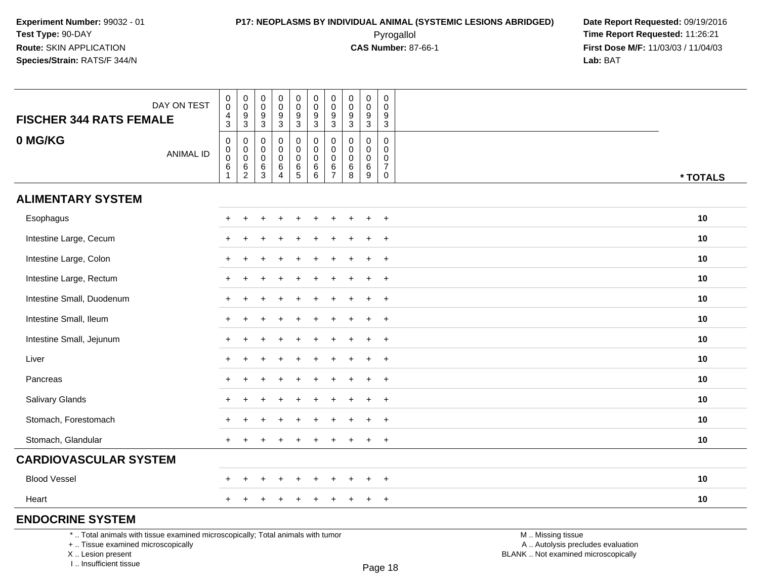Pyrogallol **Time Report Requested:** 11:26:21 **First Dose M/F:** 11/03/03 / 11/04/03<br>**Lab:** BAT **Lab:** BAT

|                                                                                 | DAY ON TEST      | $\,0\,$<br>$\pmb{0}$<br>4                                            | $\pmb{0}$<br>$\pmb{0}$<br>$\boldsymbol{9}$        | 0<br>0<br>9                          | $\mathbf 0$<br>$\mathbf 0$<br>9                  | $\pmb{0}$<br>$\pmb{0}$<br>$\boldsymbol{9}$ | 0<br>$\mathbf 0$<br>$\boldsymbol{9}$            | $\pmb{0}$<br>$\pmb{0}$<br>9                | $\mathbf 0$<br>0<br>$9\,$                     | $\mathbf 0$<br>$\mathbf 0$<br>9                     | 0<br>$\mathbf 0$<br>9                        |                   |          |
|---------------------------------------------------------------------------------|------------------|----------------------------------------------------------------------|---------------------------------------------------|--------------------------------------|--------------------------------------------------|--------------------------------------------|-------------------------------------------------|--------------------------------------------|-----------------------------------------------|-----------------------------------------------------|----------------------------------------------|-------------------|----------|
| <b>FISCHER 344 RATS FEMALE</b>                                                  |                  | 3                                                                    | $\mathbf{3}$                                      | $\mathbf 3$                          | $\sqrt{3}$                                       | $\mathbf{3}$                               | $\mathbf{3}$                                    | $\mathbf{3}$                               | $\mathbf{3}$                                  | $\mathbf{3}$                                        | $\sqrt{3}$                                   |                   |          |
| 0 MG/KG                                                                         | <b>ANIMAL ID</b> | $\mathbf 0$<br>$\boldsymbol{0}$<br>$\ddot{\mathbf{0}}$<br>$\,6$<br>1 | 0<br>$\pmb{0}$<br>$\overline{0}$<br>$\frac{6}{2}$ | 0<br>0<br>0<br>$\,6$<br>$\mathbf{3}$ | 0<br>$\Omega$<br>$\Omega$<br>6<br>$\overline{4}$ | 0<br>0<br>0<br>$6\over 5$                  | 0<br>$\mathbf 0$<br>$\mathbf 0$<br>6<br>$\,6\,$ | 0<br>$\pmb{0}$<br>0<br>6<br>$\overline{7}$ | 0<br>$\mathbf 0$<br>$\mathbf 0$<br>$\,6$<br>8 | $\mathbf 0$<br>$\mathbf 0$<br>$\mathbf 0$<br>6<br>9 | 0<br>0<br>0<br>$\overline{7}$<br>$\mathbf 0$ |                   | * TOTALS |
| <b>ALIMENTARY SYSTEM</b>                                                        |                  |                                                                      |                                                   |                                      |                                                  |                                            |                                                 |                                            |                                               |                                                     |                                              |                   |          |
| Esophagus                                                                       |                  | $+$                                                                  |                                                   |                                      |                                                  |                                            |                                                 |                                            |                                               |                                                     | $+$                                          |                   | 10       |
| Intestine Large, Cecum                                                          |                  |                                                                      |                                                   |                                      |                                                  |                                            |                                                 |                                            |                                               |                                                     | $+$                                          |                   | 10       |
| Intestine Large, Colon                                                          |                  |                                                                      |                                                   |                                      |                                                  |                                            |                                                 |                                            |                                               |                                                     | $\ddot{}$                                    |                   | 10       |
| Intestine Large, Rectum                                                         |                  | $\pm$                                                                |                                                   |                                      |                                                  |                                            |                                                 |                                            |                                               |                                                     | $+$                                          |                   | 10       |
| Intestine Small, Duodenum                                                       |                  |                                                                      |                                                   |                                      |                                                  |                                            |                                                 |                                            |                                               |                                                     | $+$                                          |                   | 10       |
| Intestine Small, Ileum                                                          |                  | $\pm$                                                                |                                                   |                                      |                                                  |                                            |                                                 |                                            |                                               |                                                     | $+$                                          |                   | 10       |
| Intestine Small, Jejunum                                                        |                  | $\pm$                                                                |                                                   |                                      |                                                  |                                            |                                                 |                                            |                                               |                                                     | $+$                                          |                   | 10       |
| Liver                                                                           |                  |                                                                      |                                                   |                                      |                                                  |                                            |                                                 |                                            |                                               |                                                     | $+$                                          |                   | 10       |
| Pancreas                                                                        |                  | $\pm$                                                                |                                                   |                                      |                                                  |                                            |                                                 |                                            |                                               |                                                     | $+$                                          |                   | 10       |
| <b>Salivary Glands</b>                                                          |                  |                                                                      |                                                   |                                      |                                                  |                                            |                                                 |                                            |                                               |                                                     | $+$                                          |                   | 10       |
| Stomach, Forestomach                                                            |                  |                                                                      |                                                   |                                      |                                                  |                                            |                                                 |                                            |                                               |                                                     | $\ddot{}$                                    |                   | 10       |
| Stomach, Glandular                                                              |                  | $+$                                                                  |                                                   |                                      |                                                  |                                            |                                                 |                                            |                                               | ÷                                                   | $+$                                          |                   | 10       |
| <b>CARDIOVASCULAR SYSTEM</b>                                                    |                  |                                                                      |                                                   |                                      |                                                  |                                            |                                                 |                                            |                                               |                                                     |                                              |                   |          |
| <b>Blood Vessel</b>                                                             |                  |                                                                      |                                                   |                                      |                                                  |                                            |                                                 |                                            |                                               |                                                     | $\ddot{}$                                    |                   | 10       |
| Heart                                                                           |                  | $+$                                                                  |                                                   |                                      |                                                  |                                            |                                                 | ÷                                          |                                               | $\ddot{}$                                           | $+$                                          |                   | 10       |
| <b>ENDOCRINE SYSTEM</b>                                                         |                  |                                                                      |                                                   |                                      |                                                  |                                            |                                                 |                                            |                                               |                                                     |                                              |                   |          |
| *  Total animals with tissue examined microscopically; Total animals with tumor |                  |                                                                      |                                                   |                                      |                                                  |                                            |                                                 |                                            |                                               |                                                     |                                              | M  Missing tissue |          |

+ .. Tissue examined microscopically

X .. Lesion present

I .. Insufficient tissue

M .. Missing tissue

y the contract of the contract of the contract of the contract of the contract of  $\mathsf A$  . Autolysis precludes evaluation Lesion present BLANK .. Not examined microscopically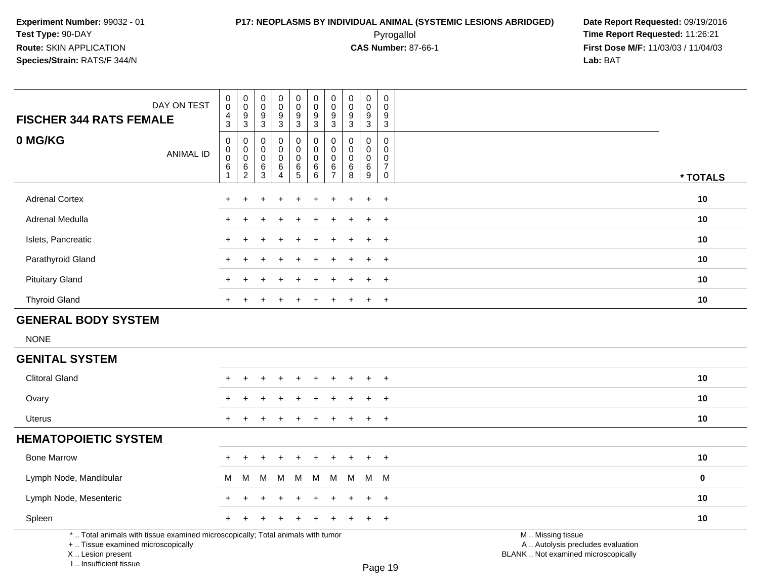## **P17: NEOPLASMS BY INDIVIDUAL ANIMAL (SYSTEMIC LESIONS ABRIDGED) Date Report Requested:** 09/19/2016 Pyrogallol **Time Report Requested:** 11:26:21

**First Dose M/F:** 11/03/03 / 11/04/03<br>**Lab:** BAT **Lab:** BAT

| <b>FISCHER 344 RATS FEMALE</b>                                                                                        | DAY ON TEST      | $\pmb{0}$<br>$\mathbf 0$<br>4<br>$\mathbf{3}$                           | $\boldsymbol{0}$<br>$\,0\,$<br>$9\,$                                 | $\pmb{0}$<br>$\mathbf 0$<br>9                             | $\pmb{0}$<br>$\overline{0}$<br>$\frac{9}{3}$                 | $\pmb{0}$<br>$\ddot{\mathbf{0}}$<br>9<br>$\overline{3}$       | $\pmb{0}$<br>$\pmb{0}$<br>9                                                            | $\mathbf 0$<br>$\mathbf 0$<br>9                                                | $\pmb{0}$<br>$\pmb{0}$<br>$9\,$                                  | $\pmb{0}$<br>$\mathbf 0$<br>9                                          | $\pmb{0}$<br>$\mathbf 0$<br>9<br>$\overline{3}$                          |                                                        |          |
|-----------------------------------------------------------------------------------------------------------------------|------------------|-------------------------------------------------------------------------|----------------------------------------------------------------------|-----------------------------------------------------------|--------------------------------------------------------------|---------------------------------------------------------------|----------------------------------------------------------------------------------------|--------------------------------------------------------------------------------|------------------------------------------------------------------|------------------------------------------------------------------------|--------------------------------------------------------------------------|--------------------------------------------------------|----------|
| 0 MG/KG                                                                                                               | <b>ANIMAL ID</b> | $\mathbf 0$<br>$\mathbf 0$<br>$\overline{0}$<br>$\,6\,$<br>$\mathbf{1}$ | $\mathbf{3}$<br>$\pmb{0}$<br>$\mathbf 0$<br>$\,0\,$<br>$\frac{6}{2}$ | 3<br>$\mathbf 0$<br>0<br>$\mathsf 0$<br>6<br>$\mathbf{3}$ | $\mathbf 0$<br>0<br>$\mathbf 0$<br>$\,6\,$<br>$\overline{4}$ | $\pmb{0}$<br>$\mathbf 0$<br>$\ddot{\mathbf{0}}$<br>$6\over 5$ | $\mathbf{3}$<br>$\mathbf 0$<br>$\mathbf 0$<br>$\mathbf 0$<br>$\,6\,$<br>$6\phantom{a}$ | $\sqrt{3}$<br>$\mathbf 0$<br>$\mathbf 0$<br>$\mathbf 0$<br>6<br>$\overline{7}$ | $\overline{3}$<br>$\mathbf 0$<br>$\Omega$<br>$\pmb{0}$<br>6<br>8 | 3<br>$\mathbf 0$<br>$\mathbf{0}$<br>$\mathbf 0$<br>6<br>$\overline{9}$ | $\mathbf 0$<br>$\mathbf 0$<br>0<br>$\overline{7}$<br>$\mathsf{O}\xspace$ |                                                        | * TOTALS |
| <b>Adrenal Cortex</b>                                                                                                 |                  |                                                                         |                                                                      |                                                           |                                                              |                                                               |                                                                                        |                                                                                |                                                                  |                                                                        |                                                                          |                                                        | 10       |
|                                                                                                                       |                  |                                                                         |                                                                      |                                                           |                                                              |                                                               |                                                                                        |                                                                                |                                                                  | $\ddot{}$                                                              | $\ddot{}$                                                                |                                                        |          |
| Adrenal Medulla                                                                                                       |                  |                                                                         |                                                                      |                                                           |                                                              |                                                               |                                                                                        |                                                                                |                                                                  |                                                                        | $\ddot{}$                                                                |                                                        | 10       |
| Islets, Pancreatic                                                                                                    |                  |                                                                         |                                                                      |                                                           |                                                              |                                                               |                                                                                        |                                                                                |                                                                  | ٠                                                                      | $\overline{ }$                                                           |                                                        | 10       |
| Parathyroid Gland                                                                                                     |                  |                                                                         |                                                                      |                                                           |                                                              |                                                               |                                                                                        |                                                                                |                                                                  | $\ddot{}$                                                              | $\overline{+}$                                                           |                                                        | 10       |
| <b>Pituitary Gland</b>                                                                                                |                  |                                                                         |                                                                      |                                                           |                                                              |                                                               |                                                                                        |                                                                                |                                                                  | ÷.                                                                     | $\overline{+}$                                                           |                                                        | 10       |
| <b>Thyroid Gland</b>                                                                                                  |                  |                                                                         |                                                                      |                                                           |                                                              |                                                               |                                                                                        |                                                                                |                                                                  | $\div$                                                                 | $\ddot{}$                                                                |                                                        | 10       |
| <b>GENERAL BODY SYSTEM</b>                                                                                            |                  |                                                                         |                                                                      |                                                           |                                                              |                                                               |                                                                                        |                                                                                |                                                                  |                                                                        |                                                                          |                                                        |          |
| <b>NONE</b>                                                                                                           |                  |                                                                         |                                                                      |                                                           |                                                              |                                                               |                                                                                        |                                                                                |                                                                  |                                                                        |                                                                          |                                                        |          |
| <b>GENITAL SYSTEM</b>                                                                                                 |                  |                                                                         |                                                                      |                                                           |                                                              |                                                               |                                                                                        |                                                                                |                                                                  |                                                                        |                                                                          |                                                        |          |
| <b>Clitoral Gland</b>                                                                                                 |                  |                                                                         |                                                                      |                                                           |                                                              |                                                               |                                                                                        |                                                                                |                                                                  |                                                                        | $\ddot{}$                                                                |                                                        | 10       |
| Ovary                                                                                                                 |                  |                                                                         |                                                                      |                                                           |                                                              |                                                               |                                                                                        |                                                                                |                                                                  |                                                                        | $\ddot{}$                                                                |                                                        | 10       |
| <b>Uterus</b>                                                                                                         |                  |                                                                         |                                                                      |                                                           |                                                              |                                                               |                                                                                        |                                                                                |                                                                  | $\ddot{}$                                                              | $^{+}$                                                                   |                                                        | 10       |
| <b>HEMATOPOIETIC SYSTEM</b>                                                                                           |                  |                                                                         |                                                                      |                                                           |                                                              |                                                               |                                                                                        |                                                                                |                                                                  |                                                                        |                                                                          |                                                        |          |
| <b>Bone Marrow</b>                                                                                                    |                  |                                                                         |                                                                      |                                                           |                                                              |                                                               |                                                                                        |                                                                                |                                                                  |                                                                        | $\overline{+}$                                                           |                                                        | 10       |
| Lymph Node, Mandibular                                                                                                |                  | м                                                                       | M                                                                    | M                                                         | M                                                            | M                                                             | M                                                                                      | м                                                                              | м                                                                | M                                                                      | M                                                                        |                                                        | 0        |
| Lymph Node, Mesenteric                                                                                                |                  |                                                                         |                                                                      |                                                           |                                                              |                                                               |                                                                                        |                                                                                |                                                                  | $\ddot{}$                                                              | $+$                                                                      |                                                        | 10       |
| Spleen                                                                                                                |                  |                                                                         |                                                                      |                                                           |                                                              |                                                               |                                                                                        |                                                                                |                                                                  | $\ddot{}$                                                              | $\overline{+}$                                                           |                                                        | 10       |
| *  Total animals with tissue examined microscopically; Total animals with tumor<br>+  Tissue examined microscopically |                  |                                                                         |                                                                      |                                                           |                                                              |                                                               |                                                                                        |                                                                                |                                                                  |                                                                        |                                                                          | M  Missing tissue<br>A  Autolysis precludes evaluation |          |

 Lesion present BLANK .. Not examined microscopicallyX .. Lesion present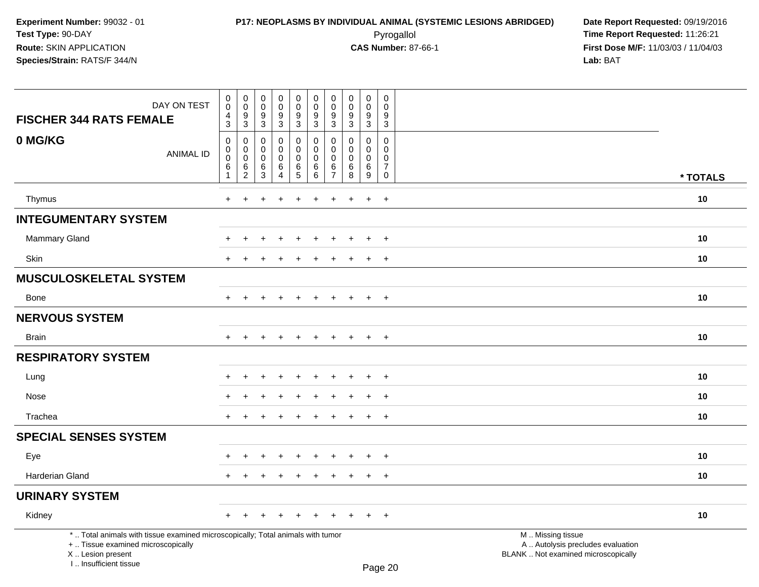| DAY ON TEST<br><b>FISCHER 344 RATS FEMALE</b>                                                                                                                       | $\mathbf 0$<br>$\mathbf 0$<br>4<br>3 | $\pmb{0}$<br>$\mathsf 0$<br>$\frac{9}{3}$ | $\begin{smallmatrix}0\\0\end{smallmatrix}$<br>$\frac{9}{3}$ | $\pmb{0}$<br>$\pmb{0}$<br>$\frac{9}{3}$ | $\boldsymbol{0}$<br>$\mathsf{O}\xspace$<br>$\frac{9}{3}$ | $\pmb{0}$<br>$\mathbf 0$<br>9<br>3          | 0<br>$\mathbf 0$<br>$\frac{9}{3}$           | $\mathbf 0$<br>$\overline{0}$<br>$\frac{9}{3}$ | $\pmb{0}$<br>$\pmb{0}$<br>$\frac{9}{3}$ | 0<br>0<br>$\boldsymbol{9}$<br>$\mathbf{3}$     |                                                                                               |          |
|---------------------------------------------------------------------------------------------------------------------------------------------------------------------|--------------------------------------|-------------------------------------------|-------------------------------------------------------------|-----------------------------------------|----------------------------------------------------------|---------------------------------------------|---------------------------------------------|------------------------------------------------|-----------------------------------------|------------------------------------------------|-----------------------------------------------------------------------------------------------|----------|
| 0 MG/KG<br><b>ANIMAL ID</b>                                                                                                                                         | $\mathbf 0$<br>0<br>0<br>6           | 0<br>0<br>$\mathsf{O}\xspace$<br>6        | $\mathbf{0}$<br>$\mathbf 0$<br>$\mathbf 0$<br>$\,6$         | 0<br>$\mathbf 0$<br>0<br>$\,6\,$        | 0<br>$\mathbf 0$<br>$\mathbf 0$                          | $\Omega$<br>$\mathbf 0$<br>$\mathbf 0$<br>6 | $\Omega$<br>$\mathbf 0$<br>$\mathbf 0$<br>6 | $\mathbf{0}$<br>$\Omega$<br>$\mathbf 0$<br>6   | 0<br>$\mathbf 0$<br>$\mathbf 0$         | $\Omega$<br>$\mathbf 0$<br>0<br>$\overline{7}$ |                                                                                               |          |
|                                                                                                                                                                     | 1                                    | $\overline{2}$                            | $\overline{3}$                                              | $\overline{4}$                          | $6\over 5$                                               | 6                                           | $\overline{7}$                              | $\overline{8}$                                 | $^6_9$                                  | $\mathsf{O}\xspace$                            |                                                                                               | * TOTALS |
| Thymus                                                                                                                                                              | $+$                                  | $\ddot{}$                                 |                                                             | $\ddot{}$                               | $\ddot{}$                                                | $\ddot{}$                                   | $\div$                                      | $\ddot{}$                                      | $\ddot{}$                               | $+$                                            |                                                                                               | 10       |
| <b>INTEGUMENTARY SYSTEM</b>                                                                                                                                         |                                      |                                           |                                                             |                                         |                                                          |                                             |                                             |                                                |                                         |                                                |                                                                                               |          |
| Mammary Gland                                                                                                                                                       | ÷                                    | ÷                                         | ۰                                                           | $\ddot{}$                               |                                                          | ÷                                           |                                             | $\div$                                         | $\pm$                                   | $\overline{+}$                                 |                                                                                               | 10       |
| Skin                                                                                                                                                                | $\ddot{}$                            |                                           |                                                             |                                         |                                                          |                                             |                                             |                                                | $\ddot{}$                               | $+$                                            |                                                                                               | 10       |
| <b>MUSCULOSKELETAL SYSTEM</b>                                                                                                                                       |                                      |                                           |                                                             |                                         |                                                          |                                             |                                             |                                                |                                         |                                                |                                                                                               |          |
| <b>Bone</b>                                                                                                                                                         | $\ddot{}$                            | $\ddot{}$                                 | $\div$                                                      | $\ddot{}$                               | $\overline{+}$                                           | $\ddot{}$                                   | $\div$                                      | $\overline{+}$                                 | $+$                                     | $+$                                            |                                                                                               | 10       |
| <b>NERVOUS SYSTEM</b>                                                                                                                                               |                                      |                                           |                                                             |                                         |                                                          |                                             |                                             |                                                |                                         |                                                |                                                                                               |          |
| <b>Brain</b>                                                                                                                                                        | $\ddot{}$                            |                                           |                                                             |                                         |                                                          |                                             |                                             |                                                | $+$                                     | $+$                                            |                                                                                               | $10$     |
| <b>RESPIRATORY SYSTEM</b>                                                                                                                                           |                                      |                                           |                                                             |                                         |                                                          |                                             |                                             |                                                |                                         |                                                |                                                                                               |          |
| Lung                                                                                                                                                                |                                      |                                           |                                                             |                                         |                                                          |                                             |                                             |                                                |                                         | $\div$                                         |                                                                                               | 10       |
| Nose                                                                                                                                                                |                                      |                                           |                                                             |                                         |                                                          |                                             |                                             |                                                |                                         | $\div$                                         |                                                                                               | 10       |
| Trachea                                                                                                                                                             | $\ddot{}$                            |                                           |                                                             |                                         |                                                          |                                             |                                             | $\div$                                         | $+$                                     | $+$                                            |                                                                                               | 10       |
| <b>SPECIAL SENSES SYSTEM</b>                                                                                                                                        |                                      |                                           |                                                             |                                         |                                                          |                                             |                                             |                                                |                                         |                                                |                                                                                               |          |
| Eye                                                                                                                                                                 | ÷                                    | ÷.                                        |                                                             |                                         |                                                          |                                             |                                             |                                                | $\pm$                                   | $\overline{+}$                                 |                                                                                               | 10       |
| <b>Harderian Gland</b>                                                                                                                                              | $\ddot{}$                            | $\pm$                                     | $\ddot{}$                                                   | $\div$                                  | $\ddot{}$                                                |                                             |                                             | $\ddot{}$                                      | $+$                                     | $+$                                            |                                                                                               | 10       |
| <b>URINARY SYSTEM</b>                                                                                                                                               |                                      |                                           |                                                             |                                         |                                                          |                                             |                                             |                                                |                                         |                                                |                                                                                               |          |
| Kidney                                                                                                                                                              | $+$                                  | $+$                                       | $\ddot{}$                                                   | $\ddot{}$                               | $\overline{+}$                                           | $\ddot{}$                                   |                                             | $\pm$                                          | $+$                                     | $+$                                            |                                                                                               | 10       |
| *  Total animals with tissue examined microscopically; Total animals with tumor<br>+  Tissue examined microscopically<br>X  Lesion present<br>I Insufficient tissue |                                      |                                           |                                                             |                                         |                                                          |                                             |                                             |                                                |                                         | $D_{200}$ 20                                   | M  Missing tissue<br>A  Autolysis precludes evaluation<br>BLANK  Not examined microscopically |          |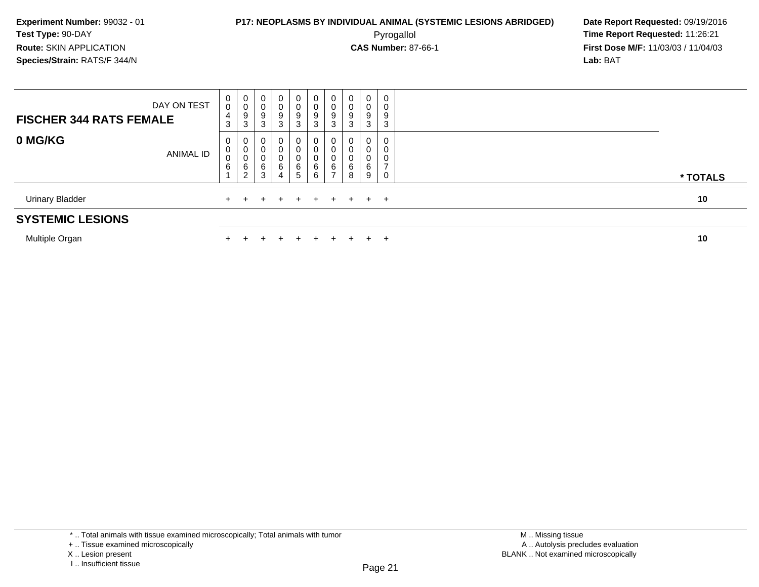**First Dose M/F:** 11/03/03 / 11/04/03<br>**Lab:** BAT **Lab:** BAT

| Multiple Organ                 |                  |                  |                                                                 |                  |                                      |                                     | ÷                     |                                                                           |                           | $+$                             | +                |  |  |  |  | 10       |
|--------------------------------|------------------|------------------|-----------------------------------------------------------------|------------------|--------------------------------------|-------------------------------------|-----------------------|---------------------------------------------------------------------------|---------------------------|---------------------------------|------------------|--|--|--|--|----------|
| <b>SYSTEMIC LESIONS</b>        |                  |                  |                                                                 |                  |                                      |                                     |                       |                                                                           |                           |                                 |                  |  |  |  |  |          |
| <b>Urinary Bladder</b>         |                  |                  |                                                                 |                  |                                      | $+$                                 | $+$                   | $+$                                                                       | $+$                       |                                 | $+$ $+$          |  |  |  |  | 10       |
| 0 MG/KG                        | <b>ANIMAL ID</b> | 0<br>0<br>0<br>6 | 0<br>$\pmb{0}$<br>$\mathbf 0$<br>$6\phantom{1}6$<br>2           | 6<br>3           | 6<br>4                               | 0<br>0<br>0<br>6<br>$5\overline{)}$ | 0<br>0<br>0<br>6<br>6 | $\boldsymbol{0}$<br>$\mathbf 0$<br>$\pmb{0}$<br>$\,6\,$<br>$\overline{ }$ | 0<br>0<br>0<br>$\,6$<br>8 | 0<br>$\mathbf 0$<br>0<br>6<br>9 | 0<br>0<br>0      |  |  |  |  | * TOTALS |
| <b>FISCHER 344 RATS FEMALE</b> | DAY ON TEST      | 0<br>0<br>4<br>3 | $\begin{smallmatrix}0\\0\end{smallmatrix}$<br>9<br>$\mathbf{3}$ | 0<br>υ<br>9<br>3 | 0<br>$\mathbf 0$<br>$\mathsf g$<br>3 | 0<br>$\pmb{0}$<br>9<br>3            | 0<br>0<br>9<br>3      | $\mathbf 0$<br>$\pmb{0}$<br>$\boldsymbol{9}$<br>3                         | 0<br>0<br>9<br>3          | 0<br>$\boldsymbol{0}$<br>9<br>3 | 0<br>0<br>9<br>3 |  |  |  |  |          |

\* .. Total animals with tissue examined microscopically; Total animals with tumor

X .. Lesion present

<sup>+ ..</sup> Tissue examined microscopically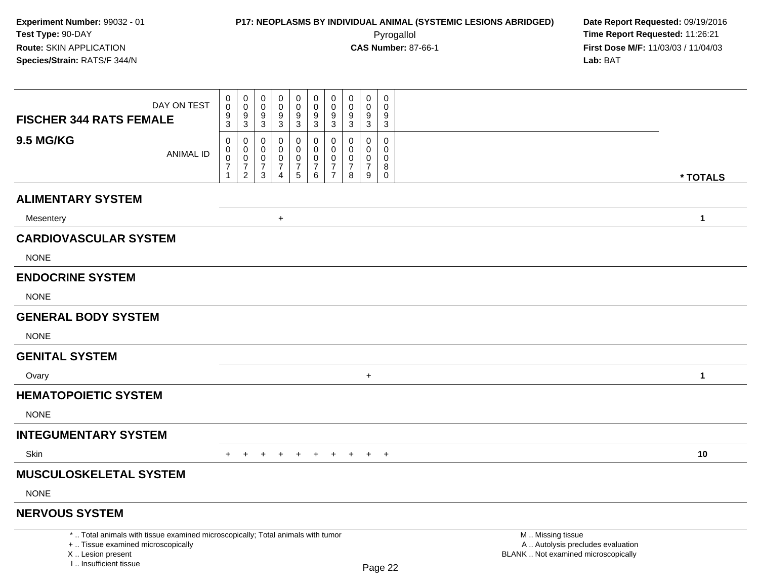| <b>FISCHER 344 RATS FEMALE</b>                                                                                                                                      | DAY ON TEST      | $\mathbf 0$<br>$\mathbf 0$<br>$^9_3$                    | $\boldsymbol{0}$<br>$\mathbf 0$<br>9<br>$\overline{3}$   | 0<br>$\mathbf 0$<br>9<br>3                   | 0<br>$\mathbf 0$<br>9<br>$\overline{3}$                                    | $\pmb{0}$<br>$\mathbf 0$<br>$9\,$<br>$\overline{3}$ | $\pmb{0}$<br>$\mathbf 0$<br>$\boldsymbol{9}$<br>$\overline{3}$ | $\mathbf 0$<br>$\mathbf 0$<br>9<br>$\mathbf{3}$            | 0<br>$\Omega$<br>9<br>3                   | $\pmb{0}$<br>$\mathbf 0$<br>9<br>$\overline{3}$                  | $\Omega$<br>$\Omega$<br>9<br>3                   |                                                                                               |              |
|---------------------------------------------------------------------------------------------------------------------------------------------------------------------|------------------|---------------------------------------------------------|----------------------------------------------------------|----------------------------------------------|----------------------------------------------------------------------------|-----------------------------------------------------|----------------------------------------------------------------|------------------------------------------------------------|-------------------------------------------|------------------------------------------------------------------|--------------------------------------------------|-----------------------------------------------------------------------------------------------|--------------|
| <b>9.5 MG/KG</b>                                                                                                                                                    | <b>ANIMAL ID</b> | 0<br>0<br>$\mathbf 0$<br>$\overline{7}$<br>$\mathbf{1}$ | 0<br>$\mathbf 0$<br>$\mathsf{O}\xspace$<br>$\frac{7}{2}$ | 0<br>0<br>$\mathbf 0$<br>$\overline{7}$<br>3 | $\mathbf 0$<br>0<br>$\boldsymbol{0}$<br>$\boldsymbol{7}$<br>$\overline{4}$ | $\mathbf 0$<br>0<br>$\pmb{0}$<br>$\frac{7}{5}$      | 0<br>$\mathbf 0$<br>$\pmb{0}$<br>$\frac{7}{6}$                 | $\mathbf 0$<br>$\mathbf 0$<br>$\mathbf 0$<br>$\frac{7}{7}$ | 0<br>$\Omega$<br>0<br>$\overline{7}$<br>8 | $\mathbf 0$<br>$\mathbf 0$<br>$\pmb{0}$<br>$\boldsymbol{7}$<br>9 | 0<br>$\Omega$<br>$\mathbf 0$<br>8<br>$\mathbf 0$ |                                                                                               | * TOTALS     |
| <b>ALIMENTARY SYSTEM</b>                                                                                                                                            |                  |                                                         |                                                          |                                              |                                                                            |                                                     |                                                                |                                                            |                                           |                                                                  |                                                  |                                                                                               |              |
| Mesentery                                                                                                                                                           |                  |                                                         |                                                          |                                              | $+$                                                                        |                                                     |                                                                |                                                            |                                           |                                                                  |                                                  |                                                                                               | $\mathbf{1}$ |
| <b>CARDIOVASCULAR SYSTEM</b>                                                                                                                                        |                  |                                                         |                                                          |                                              |                                                                            |                                                     |                                                                |                                                            |                                           |                                                                  |                                                  |                                                                                               |              |
| <b>NONE</b>                                                                                                                                                         |                  |                                                         |                                                          |                                              |                                                                            |                                                     |                                                                |                                                            |                                           |                                                                  |                                                  |                                                                                               |              |
| <b>ENDOCRINE SYSTEM</b>                                                                                                                                             |                  |                                                         |                                                          |                                              |                                                                            |                                                     |                                                                |                                                            |                                           |                                                                  |                                                  |                                                                                               |              |
| <b>NONE</b>                                                                                                                                                         |                  |                                                         |                                                          |                                              |                                                                            |                                                     |                                                                |                                                            |                                           |                                                                  |                                                  |                                                                                               |              |
| <b>GENERAL BODY SYSTEM</b>                                                                                                                                          |                  |                                                         |                                                          |                                              |                                                                            |                                                     |                                                                |                                                            |                                           |                                                                  |                                                  |                                                                                               |              |
| <b>NONE</b>                                                                                                                                                         |                  |                                                         |                                                          |                                              |                                                                            |                                                     |                                                                |                                                            |                                           |                                                                  |                                                  |                                                                                               |              |
| <b>GENITAL SYSTEM</b>                                                                                                                                               |                  |                                                         |                                                          |                                              |                                                                            |                                                     |                                                                |                                                            |                                           |                                                                  |                                                  |                                                                                               |              |
| Ovary                                                                                                                                                               |                  |                                                         |                                                          |                                              |                                                                            |                                                     |                                                                |                                                            |                                           | $\ddot{}$                                                        |                                                  |                                                                                               | $\mathbf{1}$ |
| <b>HEMATOPOIETIC SYSTEM</b>                                                                                                                                         |                  |                                                         |                                                          |                                              |                                                                            |                                                     |                                                                |                                                            |                                           |                                                                  |                                                  |                                                                                               |              |
| <b>NONE</b>                                                                                                                                                         |                  |                                                         |                                                          |                                              |                                                                            |                                                     |                                                                |                                                            |                                           |                                                                  |                                                  |                                                                                               |              |
| <b>INTEGUMENTARY SYSTEM</b>                                                                                                                                         |                  |                                                         |                                                          |                                              |                                                                            |                                                     |                                                                |                                                            |                                           |                                                                  |                                                  |                                                                                               |              |
| Skin                                                                                                                                                                |                  |                                                         |                                                          |                                              | $\div$                                                                     | $+$                                                 | $+$                                                            | $+$                                                        | $+$                                       |                                                                  | $+$ $+$                                          |                                                                                               | 10           |
| <b>MUSCULOSKELETAL SYSTEM</b>                                                                                                                                       |                  |                                                         |                                                          |                                              |                                                                            |                                                     |                                                                |                                                            |                                           |                                                                  |                                                  |                                                                                               |              |
| <b>NONE</b>                                                                                                                                                         |                  |                                                         |                                                          |                                              |                                                                            |                                                     |                                                                |                                                            |                                           |                                                                  |                                                  |                                                                                               |              |
| <b>NERVOUS SYSTEM</b>                                                                                                                                               |                  |                                                         |                                                          |                                              |                                                                            |                                                     |                                                                |                                                            |                                           |                                                                  |                                                  |                                                                                               |              |
| *  Total animals with tissue examined microscopically; Total animals with tumor<br>+  Tissue examined microscopically<br>X  Lesion present<br>I Insufficient tissue |                  |                                                         |                                                          |                                              |                                                                            |                                                     |                                                                |                                                            |                                           |                                                                  | Page 22                                          | M  Missing tissue<br>A  Autolysis precludes evaluation<br>BLANK  Not examined microscopically |              |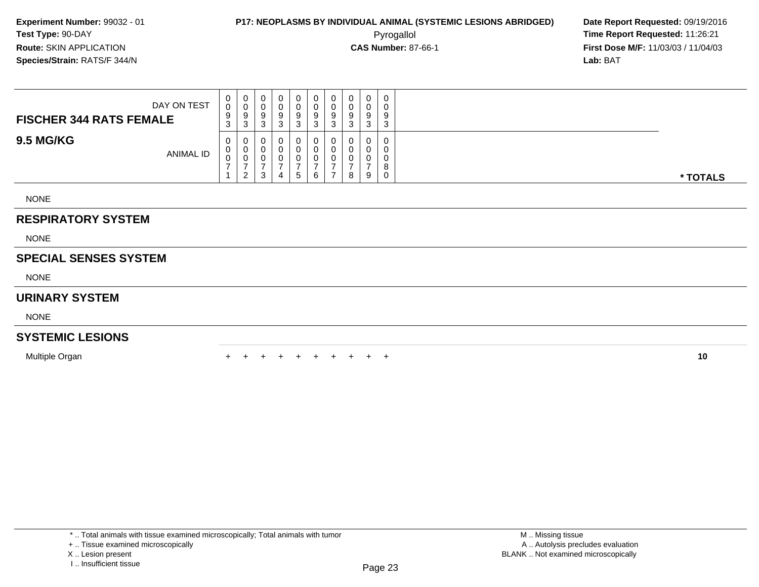**First Dose M/F:** 11/03/03 / 11/04/03<br>**Lab:** BAT **Lab:** BAT

| DAY ON TEST<br><b>FISCHER 344 RATS FEMALE</b> | $\mathbf{0}$<br>0<br>9<br>3 | $\mathbf{0}$<br>U<br>9<br>◠<br>دت | $\mathbf 0$<br>0<br>9<br>3 | <b>U</b><br>9<br>J | 9<br>-3 | 0<br>υ<br>9<br>ົ<br>ۍ | U<br>U<br>9<br>ົ<br>J | 0<br>U<br>9<br>3  | 0<br>v<br>9<br>3 | 0<br>$\mathbf 0$<br>9<br>3 |          |
|-----------------------------------------------|-----------------------------|-----------------------------------|----------------------------|--------------------|---------|-----------------------|-----------------------|-------------------|------------------|----------------------------|----------|
| <b>9.5 MG/KG</b><br>ANIMAL ID                 | 0<br>0<br>$\mathbf 0$<br>-  | U<br>U<br>U<br>ົ<br><u>_</u>      | 0<br>0<br>-U<br>-3         | 4                  | 5       | 0<br>0<br>υ<br>6      |                       | 0<br>0<br>0<br>-8 | 0<br>υ<br>U<br>9 | 0<br>0<br>0<br>8<br>0      | * TOTALS |
| <b>NONE</b>                                   |                             |                                   |                            |                    |         |                       |                       |                   |                  |                            |          |

#### **RESPIRATORY SYSTEM**

NONE

#### **SPECIAL SENSES SYSTEM**

NONE

#### **URINARY SYSTEM**

NONE

#### **SYSTEMIC LESIONS**

Multiple Organn  $+$ 

<sup>+</sup> <sup>+</sup> <sup>+</sup> <sup>+</sup> <sup>+</sup> <sup>+</sup> <sup>+</sup> <sup>+</sup> <sup>+</sup> **<sup>10</sup>**

X .. Lesion present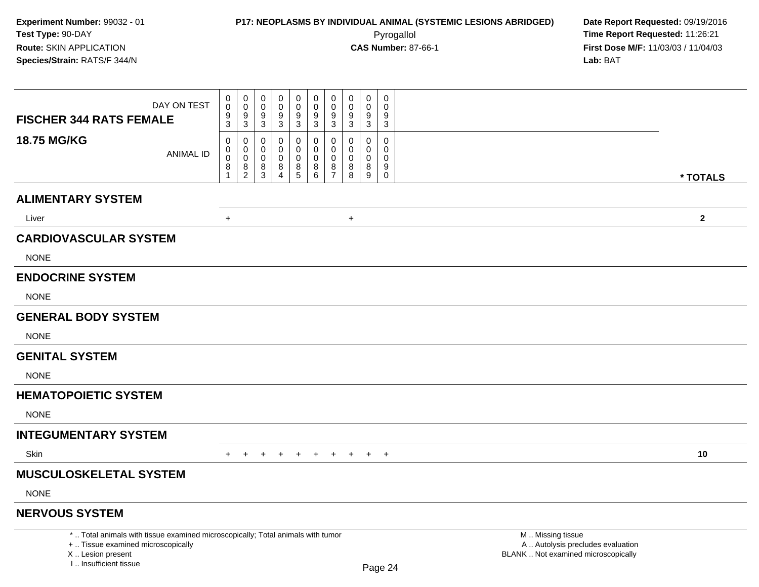| DAY ON TEST<br><b>FISCHER 344 RATS FEMALE</b>                                                                                                                       | $\pmb{0}$<br>0<br>$\frac{9}{3}$           | $\pmb{0}$<br>$\mathbf 0$<br>$\mathbf 0$<br>$\mathbf 0$<br>9<br>9<br>$\overline{3}$<br>$\mathbf{3}$                               | $\mathbf 0$<br>$\mathbf 0$<br>9<br>$\sqrt{3}$          | $\mathbf 0$<br>$\mathbf 0$<br>9<br>$\mathbf{3}$ | $\pmb{0}$<br>$\pmb{0}$<br>9<br>3            | $\mathbf 0$<br>$\mathbf 0$<br>9<br>3                        | $\boldsymbol{0}$<br>0<br>9<br>$\mathbf{3}$          | $\mathbf 0$<br>$\mathbf 0$<br>9<br>3      | $\mathbf 0$<br>$\Omega$<br>9<br>3                             |                                                                                               |              |
|---------------------------------------------------------------------------------------------------------------------------------------------------------------------|-------------------------------------------|----------------------------------------------------------------------------------------------------------------------------------|--------------------------------------------------------|-------------------------------------------------|---------------------------------------------|-------------------------------------------------------------|-----------------------------------------------------|-------------------------------------------|---------------------------------------------------------------|-----------------------------------------------------------------------------------------------|--------------|
| 18.75 MG/KG<br><b>ANIMAL ID</b>                                                                                                                                     | $\mathbf 0$<br>0<br>$\mathbf 0$<br>8<br>1 | $\mathbf 0$<br>$\mathbf 0$<br>$\mathbf 0$<br>$\mathbf 0$<br>$\mathbf 0$<br>$\mathbf 0$<br>$\,8\,$<br>$\bf8$<br>2<br>$\mathbf{3}$ | $\mathbf 0$<br>$\mathbf 0$<br>0<br>8<br>$\overline{4}$ | $\mathbf 0$<br>$\mathbf 0$<br>0<br>$\bf 8$<br>5 | $\mathbf 0$<br>0<br>$\pmb{0}$<br>$_{6}^{8}$ | $\Omega$<br>$\mathbf 0$<br>$\pmb{0}$<br>8<br>$\overline{7}$ | $\mathbf 0$<br>$\mathbf 0$<br>$\mathbf 0$<br>8<br>8 | $\mathbf 0$<br>$\mathbf 0$<br>0<br>8<br>9 | $\mathbf 0$<br>$\mathbf 0$<br>$\mathbf 0$<br>9<br>$\mathbf 0$ |                                                                                               | * TOTALS     |
| <b>ALIMENTARY SYSTEM</b>                                                                                                                                            |                                           |                                                                                                                                  |                                                        |                                                 |                                             |                                                             |                                                     |                                           |                                                               |                                                                                               |              |
| Liver                                                                                                                                                               | $\ddot{}$                                 |                                                                                                                                  |                                                        |                                                 |                                             |                                                             | $\ddot{}$                                           |                                           |                                                               |                                                                                               | $\mathbf{2}$ |
| <b>CARDIOVASCULAR SYSTEM</b>                                                                                                                                        |                                           |                                                                                                                                  |                                                        |                                                 |                                             |                                                             |                                                     |                                           |                                                               |                                                                                               |              |
| <b>NONE</b>                                                                                                                                                         |                                           |                                                                                                                                  |                                                        |                                                 |                                             |                                                             |                                                     |                                           |                                                               |                                                                                               |              |
| <b>ENDOCRINE SYSTEM</b>                                                                                                                                             |                                           |                                                                                                                                  |                                                        |                                                 |                                             |                                                             |                                                     |                                           |                                                               |                                                                                               |              |
| <b>NONE</b>                                                                                                                                                         |                                           |                                                                                                                                  |                                                        |                                                 |                                             |                                                             |                                                     |                                           |                                                               |                                                                                               |              |
| <b>GENERAL BODY SYSTEM</b>                                                                                                                                          |                                           |                                                                                                                                  |                                                        |                                                 |                                             |                                                             |                                                     |                                           |                                                               |                                                                                               |              |
| <b>NONE</b>                                                                                                                                                         |                                           |                                                                                                                                  |                                                        |                                                 |                                             |                                                             |                                                     |                                           |                                                               |                                                                                               |              |
| <b>GENITAL SYSTEM</b>                                                                                                                                               |                                           |                                                                                                                                  |                                                        |                                                 |                                             |                                                             |                                                     |                                           |                                                               |                                                                                               |              |
| <b>NONE</b>                                                                                                                                                         |                                           |                                                                                                                                  |                                                        |                                                 |                                             |                                                             |                                                     |                                           |                                                               |                                                                                               |              |
| <b>HEMATOPOIETIC SYSTEM</b>                                                                                                                                         |                                           |                                                                                                                                  |                                                        |                                                 |                                             |                                                             |                                                     |                                           |                                                               |                                                                                               |              |
| <b>NONE</b>                                                                                                                                                         |                                           |                                                                                                                                  |                                                        |                                                 |                                             |                                                             |                                                     |                                           |                                                               |                                                                                               |              |
| <b>INTEGUMENTARY SYSTEM</b>                                                                                                                                         |                                           |                                                                                                                                  |                                                        |                                                 |                                             |                                                             |                                                     |                                           |                                                               |                                                                                               |              |
| <b>Skin</b>                                                                                                                                                         | $+$                                       | $+$<br>$+$                                                                                                                       | $+$                                                    | $+$                                             | $+$                                         | $+$                                                         | $+$                                                 | $+$                                       | $^{+}$                                                        |                                                                                               | 10           |
| <b>MUSCULOSKELETAL SYSTEM</b>                                                                                                                                       |                                           |                                                                                                                                  |                                                        |                                                 |                                             |                                                             |                                                     |                                           |                                                               |                                                                                               |              |
| <b>NONE</b>                                                                                                                                                         |                                           |                                                                                                                                  |                                                        |                                                 |                                             |                                                             |                                                     |                                           |                                                               |                                                                                               |              |
| <b>NERVOUS SYSTEM</b>                                                                                                                                               |                                           |                                                                                                                                  |                                                        |                                                 |                                             |                                                             |                                                     |                                           |                                                               |                                                                                               |              |
| *  Total animals with tissue examined microscopically; Total animals with tumor<br>+  Tissue examined microscopically<br>X  Lesion present<br>I Insufficient tissue |                                           |                                                                                                                                  |                                                        |                                                 |                                             |                                                             |                                                     |                                           | Page 24                                                       | M  Missing tissue<br>A  Autolysis precludes evaluation<br>BLANK  Not examined microscopically |              |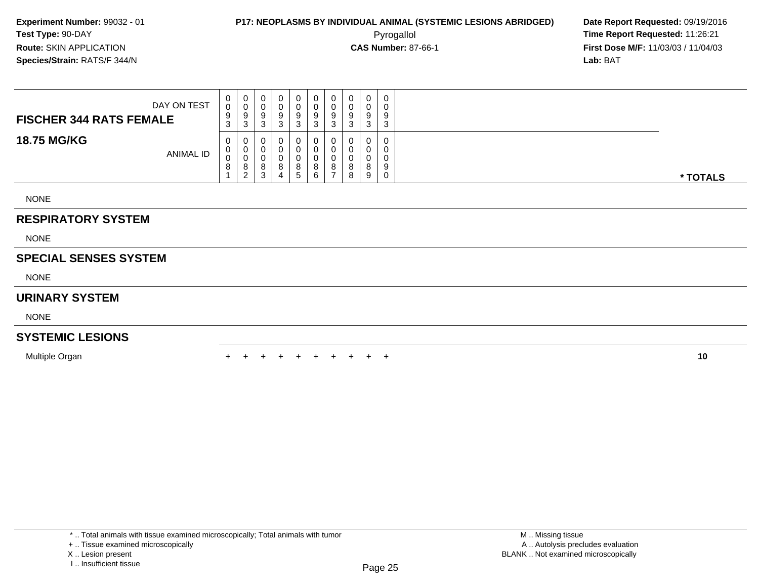**First Dose M/F:** 11/03/03 / 11/04/03<br>**Lab:** BAT **Lab:** BAT

| DAY ON TEST<br><b>FISCHER 344 RATS FEMALE</b> | $\mathbf{0}$<br>0<br>9<br>3            | U<br>U<br>9<br>ົ<br>ت             | <b>U</b><br>-9<br>-3 | U.<br>J     | 0<br>U<br>9<br>ີ<br>J |  | 0<br>u<br>9<br>J      | 0<br>9      | 0<br>0<br>9<br>3      |          |
|-----------------------------------------------|----------------------------------------|-----------------------------------|----------------------|-------------|-----------------------|--|-----------------------|-------------|-----------------------|----------|
| <b>18.75 MG/KG</b><br>ANIMAL ID               | $\mathbf{0}$<br>$\mathbf{0}$<br>0<br>8 | U<br>U<br>U<br>8<br>റ<br><u>L</u> | U<br>0<br>o<br>3     | v<br>8<br>4 | 0<br>0<br>0<br>8<br>G |  | U<br>u<br>υ<br>8<br>8 | 0<br>8<br>9 | 0<br>0<br>0<br>9<br>0 | * TOTALS |

NONE

#### **RESPIRATORY SYSTEM**

NONE

#### **SPECIAL SENSES SYSTEM**

NONE

#### **URINARY SYSTEM**

NONE

#### **SYSTEMIC LESIONS**

Multiple Organn  $+$ 

<sup>+</sup> <sup>+</sup> <sup>+</sup> <sup>+</sup> <sup>+</sup> <sup>+</sup> <sup>+</sup> <sup>+</sup> <sup>+</sup> **<sup>10</sup>**

<sup>\* ..</sup> Total animals with tissue examined microscopically; Total animals with tumor

<sup>+ ..</sup> Tissue examined microscopically

X .. Lesion present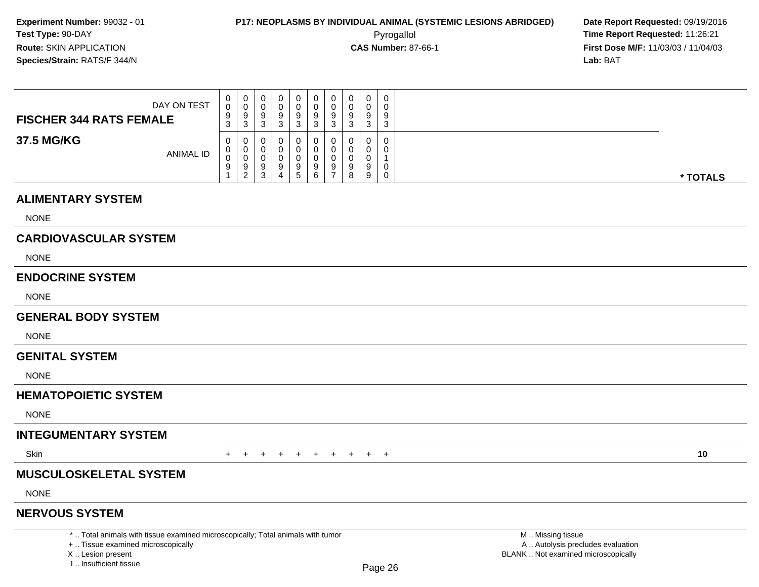**First Dose M/F:** 11/03/03 / 11/04/03<br>**Lab:** BAT **Lab:** BAT

| DAY ON TEST<br><b>FISCHER 344 RATS FEMALE</b> | 0<br>0<br>9<br>$\sim$<br>ັ | ◡<br>y<br>ັບ | 0<br>v<br>9<br>J            | v      | 0<br>-9<br>- 12 | 0<br>υ<br>9<br>ົ      | v<br>9<br>◠<br>ັ |   | 0<br>a<br>3 | 0<br>0<br>9<br>3 |          |
|-----------------------------------------------|----------------------------|--------------|-----------------------------|--------|-----------------|-----------------------|------------------|---|-------------|------------------|----------|
| 37.5 MG/KG<br><b>ANIMAL ID</b>                | 0<br>0<br>0<br>9           | .y<br>∠      | U<br>υ<br>v<br>-9<br>ົ<br>ა | y<br>4 | 0<br>-9<br>.5   | U<br>U<br>υ<br>9<br>6 | 9                | 8 | u<br>a<br>9 | 0<br>0<br>0<br>0 | * TOTALS |

#### **ALIMENTARY SYSTEM**

NONE

#### **CARDIOVASCULAR SYSTEM**

NONE

#### **ENDOCRINE SYSTEM**

NONE

#### **GENERAL BODY SYSTEM**

**NONE** 

#### **GENITAL SYSTEM**

NONE

### **HEMATOPOIETIC SYSTEM**

NONE

### **INTEGUMENTARY SYSTEM**

**Skin** n  $+$ 

<sup>+</sup> <sup>+</sup> <sup>+</sup> <sup>+</sup> <sup>+</sup> <sup>+</sup> <sup>+</sup> <sup>+</sup> <sup>+</sup> **<sup>10</sup>**

### **MUSCULOSKELETAL SYSTEM**

NONE

#### **NERVOUS SYSTEM**

\* .. Total animals with tissue examined microscopically; Total animals with tumor

+ .. Tissue examined microscopically

X .. Lesion present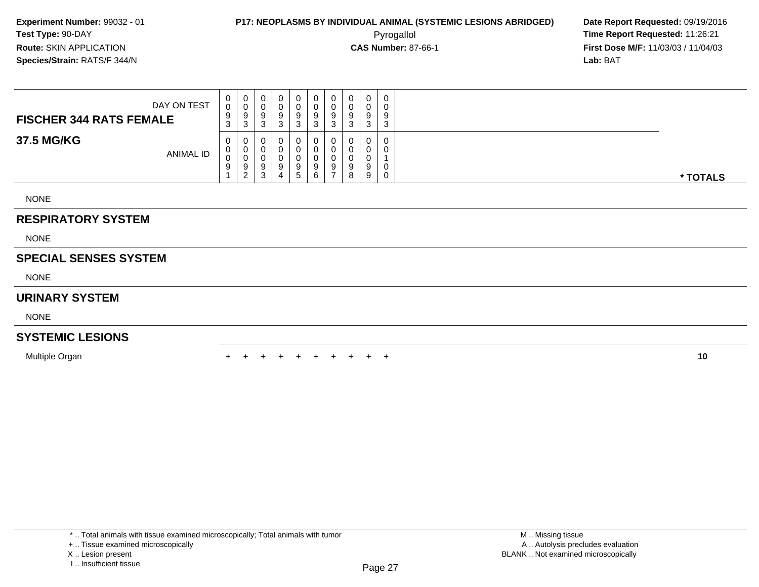**First Dose M/F:** 11/03/03 / 11/04/03<br>**Lab:** BAT **Lab:** BAT

| DAY ON TEST<br><b>FISCHER 344 RATS FEMALE</b> | $\mathbf{0}$<br>0<br>9<br>3 | 0<br>0<br>9<br>ు                  | 0<br>v<br>У<br>3      | 0<br>υ<br>9<br>n      |     | 0<br>$\Omega$<br>-9<br>3 | 0<br>9<br>ົ | 0<br>0<br>-9<br>-3    | $\mathbf 0$<br>0<br>9<br>ົ<br>ັ  | 0<br>U<br>9<br>$\sim$<br>◡ |          |
|-----------------------------------------------|-----------------------------|-----------------------------------|-----------------------|-----------------------|-----|--------------------------|-------------|-----------------------|----------------------------------|----------------------------|----------|
| 37.5 MG/KG<br><b>ANIMAL ID</b>                | 0<br>0<br>0<br>9            | 0<br>0<br>0<br>9<br>ົ<br><u>_</u> | U<br>υ<br>υ<br>9<br>3 | 0<br>0<br>0<br>9<br>4 | . ර | 0<br>0<br>0<br>-9<br>6   | 0<br>9      | 0<br>0<br>0<br>9<br>8 | $\mathbf{0}$<br>0<br>0<br>9<br>9 | 0<br>U<br>0                | * TOTALS |

NONE

#### **RESPIRATORY SYSTEM**

NONE

#### **SPECIAL SENSES SYSTEM**

NONE

#### **URINARY SYSTEM**

NONE

#### **SYSTEMIC LESIONS**

Multiple Organn  $+$ 

<sup>+</sup> <sup>+</sup> <sup>+</sup> <sup>+</sup> <sup>+</sup> <sup>+</sup> <sup>+</sup> <sup>+</sup> <sup>+</sup> **<sup>10</sup>**

X .. Lesion present

<sup>+ ..</sup> Tissue examined microscopically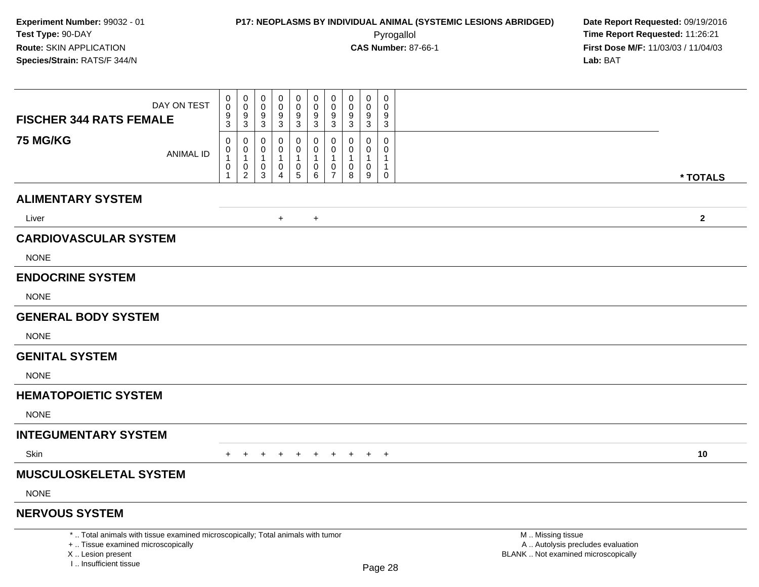## **P17: NEOPLASMS BY INDIVIDUAL ANIMAL (SYSTEMIC LESIONS ABRIDGED) Date Report Requested:** 09/19/2016 Pyrogallol **Time Report Requested:** 11:26:21

| DAY ON TEST<br><b>FISCHER 344 RATS FEMALE</b>                                                                                                                       | 0<br>$\mathbf 0$<br>$\frac{9}{3}$ | $\mathsf{O}\xspace$<br>$\mathbf 0$<br>$\mathsf{O}\xspace$<br>$\mathbf 0$<br>$\frac{9}{3}$<br>9<br>$\mathbf{3}$                                          | $\mathsf{O}\xspace$<br>$\mathbf 0$<br>9<br>3 | $\pmb{0}$<br>$\mathsf{O}\xspace$<br>$\boldsymbol{9}$<br>3           | $\pmb{0}$<br>$\mathbf 0$<br>$\boldsymbol{9}$<br>3          | $\pmb{0}$<br>$\mathbf 0$<br>9<br>$\mathbf{3}$                                    | $\pmb{0}$<br>$\mathbf 0$<br>9<br>3 | $\mathbf 0$<br>$\mathbf 0$<br>9<br>3                   | $\pmb{0}$<br>$\Omega$<br>9<br>$\mathbf{3}$                                        |                                                                                               |              |
|---------------------------------------------------------------------------------------------------------------------------------------------------------------------|-----------------------------------|---------------------------------------------------------------------------------------------------------------------------------------------------------|----------------------------------------------|---------------------------------------------------------------------|------------------------------------------------------------|----------------------------------------------------------------------------------|------------------------------------|--------------------------------------------------------|-----------------------------------------------------------------------------------|-----------------------------------------------------------------------------------------------|--------------|
| <b>75 MG/KG</b><br><b>ANIMAL ID</b>                                                                                                                                 | 0<br>0<br>$\mathbf{1}$<br>0<br>1  | $\mathbf 0$<br>0<br>$\mathsf{O}\xspace$<br>$\pmb{0}$<br>$\mathbf{1}$<br>$\overline{1}$<br>$\mathsf{O}$<br>$\pmb{0}$<br>$\overline{c}$<br>$\mathfrak{S}$ | $\mathbf 0$<br>0<br>$\mathbf{1}$<br>0<br>4   | 0<br>$\mathsf{O}\xspace$<br>$\mathbf{1}$<br>$\pmb{0}$<br>$\sqrt{5}$ | 0<br>$\mathbf 0$<br>$\mathbf{1}$<br>$\mathbf 0$<br>$\,6\,$ | $\mathbf 0$<br>$\mathbf 0$<br>$\mathbf{1}$<br>$\boldsymbol{0}$<br>$\overline{7}$ | 0<br>0<br>$\mathbf{1}$<br>0<br>8   | $\mathbf 0$<br>0<br>$\overline{1}$<br>$\mathbf 0$<br>9 | $\mathbf 0$<br>$\mathsf{O}\xspace$<br>$\mathbf{1}$<br>$\mathbf{1}$<br>$\mathbf 0$ |                                                                                               | * TOTALS     |
| <b>ALIMENTARY SYSTEM</b>                                                                                                                                            |                                   |                                                                                                                                                         |                                              |                                                                     |                                                            |                                                                                  |                                    |                                                        |                                                                                   |                                                                                               |              |
| Liver                                                                                                                                                               |                                   |                                                                                                                                                         | $+$                                          |                                                                     | $\ddot{}$                                                  |                                                                                  |                                    |                                                        |                                                                                   |                                                                                               | $\mathbf{2}$ |
| <b>CARDIOVASCULAR SYSTEM</b>                                                                                                                                        |                                   |                                                                                                                                                         |                                              |                                                                     |                                                            |                                                                                  |                                    |                                                        |                                                                                   |                                                                                               |              |
| <b>NONE</b>                                                                                                                                                         |                                   |                                                                                                                                                         |                                              |                                                                     |                                                            |                                                                                  |                                    |                                                        |                                                                                   |                                                                                               |              |
| <b>ENDOCRINE SYSTEM</b>                                                                                                                                             |                                   |                                                                                                                                                         |                                              |                                                                     |                                                            |                                                                                  |                                    |                                                        |                                                                                   |                                                                                               |              |
| <b>NONE</b>                                                                                                                                                         |                                   |                                                                                                                                                         |                                              |                                                                     |                                                            |                                                                                  |                                    |                                                        |                                                                                   |                                                                                               |              |
| <b>GENERAL BODY SYSTEM</b>                                                                                                                                          |                                   |                                                                                                                                                         |                                              |                                                                     |                                                            |                                                                                  |                                    |                                                        |                                                                                   |                                                                                               |              |
| <b>NONE</b>                                                                                                                                                         |                                   |                                                                                                                                                         |                                              |                                                                     |                                                            |                                                                                  |                                    |                                                        |                                                                                   |                                                                                               |              |
| <b>GENITAL SYSTEM</b>                                                                                                                                               |                                   |                                                                                                                                                         |                                              |                                                                     |                                                            |                                                                                  |                                    |                                                        |                                                                                   |                                                                                               |              |
| <b>NONE</b>                                                                                                                                                         |                                   |                                                                                                                                                         |                                              |                                                                     |                                                            |                                                                                  |                                    |                                                        |                                                                                   |                                                                                               |              |
| <b>HEMATOPOIETIC SYSTEM</b>                                                                                                                                         |                                   |                                                                                                                                                         |                                              |                                                                     |                                                            |                                                                                  |                                    |                                                        |                                                                                   |                                                                                               |              |
| <b>NONE</b>                                                                                                                                                         |                                   |                                                                                                                                                         |                                              |                                                                     |                                                            |                                                                                  |                                    |                                                        |                                                                                   |                                                                                               |              |
| <b>INTEGUMENTARY SYSTEM</b>                                                                                                                                         |                                   |                                                                                                                                                         |                                              |                                                                     |                                                            |                                                                                  |                                    |                                                        |                                                                                   |                                                                                               |              |
| Skin                                                                                                                                                                |                                   |                                                                                                                                                         |                                              |                                                                     | $\ddot{}$                                                  | $\ddot{}$                                                                        | $+$                                | $+$                                                    | $+$                                                                               |                                                                                               | 10           |
| <b>MUSCULOSKELETAL SYSTEM</b>                                                                                                                                       |                                   |                                                                                                                                                         |                                              |                                                                     |                                                            |                                                                                  |                                    |                                                        |                                                                                   |                                                                                               |              |
| <b>NONE</b>                                                                                                                                                         |                                   |                                                                                                                                                         |                                              |                                                                     |                                                            |                                                                                  |                                    |                                                        |                                                                                   |                                                                                               |              |
| <b>NERVOUS SYSTEM</b>                                                                                                                                               |                                   |                                                                                                                                                         |                                              |                                                                     |                                                            |                                                                                  |                                    |                                                        |                                                                                   |                                                                                               |              |
| *  Total animals with tissue examined microscopically; Total animals with tumor<br>+  Tissue examined microscopically<br>X  Lesion present<br>I Insufficient tissue |                                   |                                                                                                                                                         |                                              |                                                                     |                                                            |                                                                                  |                                    |                                                        | Page 28                                                                           | M  Missing tissue<br>A  Autolysis precludes evaluation<br>BLANK  Not examined microscopically |              |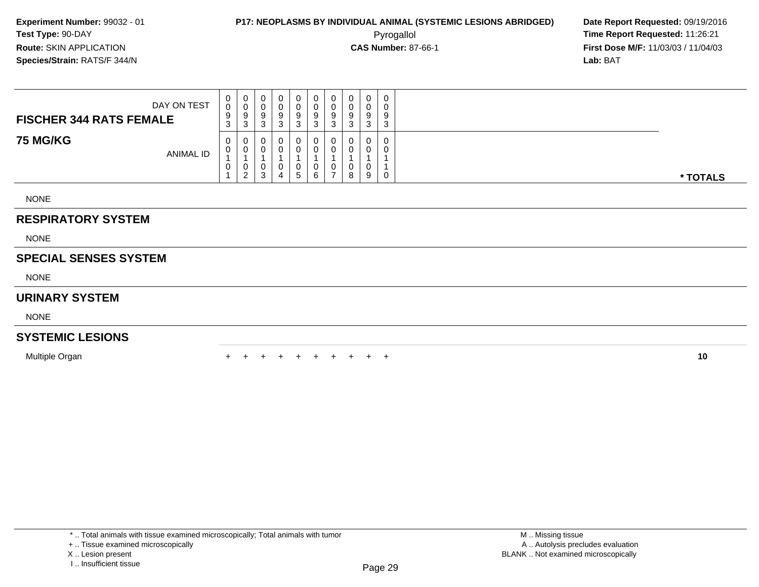**First Dose M/F:** 11/03/03 / 11/04/03<br>**Lab:** BAT **Lab:** BAT

| DAY ON TEST<br><b>FISCHER 344 RATS FEMALE</b> | $\mathbf{0}$<br>$\ddot{\mathbf{0}}$<br>9<br>3 | $\cup$<br>U<br>9<br>3 | $\mathbf 0$<br>U<br>9<br>3 | 9<br>$\cdot$ | 9<br>ు | 0<br>U<br>9<br>◠<br>చ | U<br>U<br>9<br>ົ | 0<br>0<br>9<br>3 | U<br>v<br>9<br>3 | 0<br>0<br>9<br>3      |          |
|-----------------------------------------------|-----------------------------------------------|-----------------------|----------------------------|--------------|--------|-----------------------|------------------|------------------|------------------|-----------------------|----------|
| <b>75 MG/KG</b><br>ANIMAL ID                  | $\mathbf 0$<br>0<br>0                         | 0<br>0<br>U<br>ົ<br>∼ | -0<br>$\Omega$<br>0<br>3   | д            | 5      | 0<br>0<br>0<br>6      | 0                | 0<br>0<br>0<br>8 | 0<br>U<br>9      | 0<br>0<br>$\mathbf 0$ | * TOTALS |
| <b>NONE</b>                                   |                                               |                       |                            |              |        |                       |                  |                  |                  |                       |          |

#### **RESPIRATORY SYSTEM**

NONE

#### **SPECIAL SENSES SYSTEM**

NONE

#### **URINARY SYSTEM**

NONE

#### **SYSTEMIC LESIONS**

Multiple Organn  $+$ 

<sup>+</sup> <sup>+</sup> <sup>+</sup> <sup>+</sup> <sup>+</sup> <sup>+</sup> <sup>+</sup> <sup>+</sup> <sup>+</sup> **<sup>10</sup>**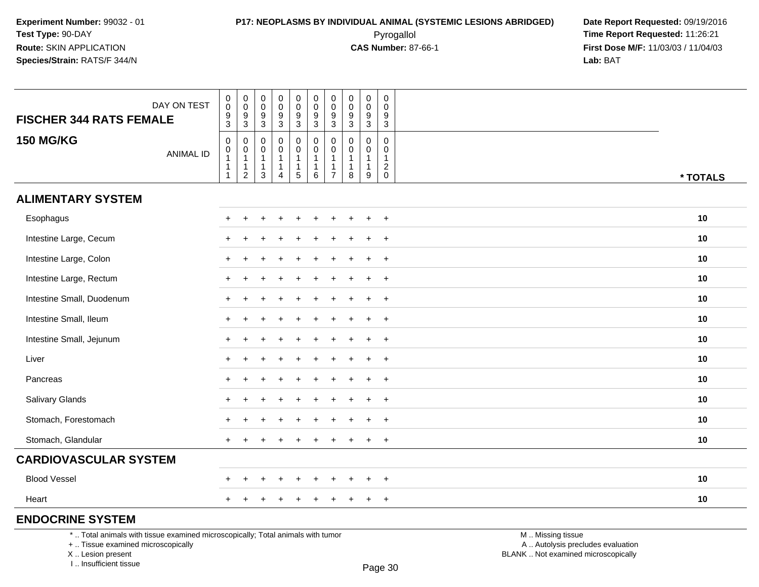**First Dose M/F:** 11/03/03 / 11/04/03<br>**Lab:** BAT **Lab:** BAT

| DAY ON TEST<br><b>FISCHER 344 RATS FEMALE</b>                                   |                  | $\pmb{0}$<br>$\,0\,$<br>$\frac{9}{3}$                                    | $\pmb{0}$<br>$\mathbf 0$<br>$\frac{9}{3}$                                | 0<br>$\pmb{0}$<br>$\frac{9}{3}$                       | $\pmb{0}$<br>$\mathbf 0$<br>9<br>$\overline{3}$                | $\pmb{0}$<br>$\pmb{0}$<br>$^9_3$                   | $\mathbf 0$<br>$\mathsf{O}\xspace$<br>$\frac{9}{3}$ | $\pmb{0}$<br>$\ddot{\mathbf{0}}$<br>$\frac{9}{3}$                  | $\pmb{0}$<br>$\mathbf 0$<br>9<br>$\overline{3}$ | $\pmb{0}$<br>$\mathbf 0$<br>9<br>$\overline{3}$                      | $\pmb{0}$<br>$\mathbf 0$<br>9<br>$\mathfrak{S}$ |                   |          |
|---------------------------------------------------------------------------------|------------------|--------------------------------------------------------------------------|--------------------------------------------------------------------------|-------------------------------------------------------|----------------------------------------------------------------|----------------------------------------------------|-----------------------------------------------------|--------------------------------------------------------------------|-------------------------------------------------|----------------------------------------------------------------------|-------------------------------------------------|-------------------|----------|
| <b>150 MG/KG</b>                                                                | <b>ANIMAL ID</b> | $\mathbf 0$<br>$\pmb{0}$<br>$\mathbf{1}$<br>$\mathbf{1}$<br>$\mathbf{1}$ | $\mathbf 0$<br>$\mathbf 0$<br>$\mathbf{1}$<br>$\mathbf{1}$<br>$\sqrt{2}$ | $\mathbf 0$<br>0<br>1<br>$\mathbf{1}$<br>$\mathbf{3}$ | $\mathbf 0$<br>$\Omega$<br>-1<br>$\mathbf 1$<br>$\overline{4}$ | $\pmb{0}$<br>$\pmb{0}$<br>1<br>1<br>$\overline{5}$ | 0<br>$\mathbf 0$<br>$\overline{1}$<br>$\,6\,$       | $\pmb{0}$<br>$\mathbf 0$<br>-1<br>$\overline{1}$<br>$\overline{7}$ | 0<br>$\Omega$<br>1<br>$\mathbf{1}$<br>8         | $\mathbf 0$<br>$\mathbf 0$<br>-1<br>$\mathbf{1}$<br>$\boldsymbol{9}$ | $\mathbf 0$<br>$\mathbf 0$<br>1<br>$^2_{\rm 0}$ |                   | * TOTALS |
| <b>ALIMENTARY SYSTEM</b>                                                        |                  |                                                                          |                                                                          |                                                       |                                                                |                                                    |                                                     |                                                                    |                                                 |                                                                      |                                                 |                   |          |
| Esophagus                                                                       |                  | $\ddot{}$                                                                |                                                                          |                                                       |                                                                |                                                    |                                                     |                                                                    |                                                 |                                                                      | $+$                                             |                   | 10       |
| Intestine Large, Cecum                                                          |                  |                                                                          |                                                                          |                                                       |                                                                |                                                    |                                                     |                                                                    |                                                 |                                                                      | $\overline{+}$                                  |                   | 10       |
| Intestine Large, Colon                                                          |                  | +                                                                        |                                                                          |                                                       |                                                                |                                                    |                                                     |                                                                    |                                                 |                                                                      | $\ddot{}$                                       |                   | 10       |
| Intestine Large, Rectum                                                         |                  | $\ddot{}$                                                                |                                                                          |                                                       |                                                                |                                                    |                                                     |                                                                    |                                                 |                                                                      | $\ddot{}$                                       |                   | 10       |
| Intestine Small, Duodenum                                                       |                  | +                                                                        |                                                                          |                                                       |                                                                |                                                    |                                                     |                                                                    |                                                 |                                                                      | $\ddot{}$                                       |                   | 10       |
| Intestine Small, Ileum                                                          |                  | $\ddot{}$                                                                |                                                                          |                                                       |                                                                |                                                    |                                                     |                                                                    |                                                 |                                                                      | $\ddot{}$                                       |                   | 10       |
| Intestine Small, Jejunum                                                        |                  | ÷                                                                        |                                                                          |                                                       |                                                                |                                                    |                                                     |                                                                    |                                                 |                                                                      | $\overline{+}$                                  |                   | 10       |
| Liver                                                                           |                  |                                                                          |                                                                          |                                                       |                                                                |                                                    |                                                     |                                                                    |                                                 |                                                                      | $\ddot{}$                                       |                   | 10       |
| Pancreas                                                                        |                  | $\ddot{}$                                                                |                                                                          |                                                       |                                                                |                                                    |                                                     |                                                                    |                                                 |                                                                      | $\overline{+}$                                  |                   | 10       |
| Salivary Glands                                                                 |                  | ÷                                                                        |                                                                          |                                                       |                                                                |                                                    |                                                     |                                                                    |                                                 |                                                                      | $\ddot{}$                                       |                   | 10       |
| Stomach, Forestomach                                                            |                  |                                                                          |                                                                          |                                                       |                                                                |                                                    |                                                     |                                                                    |                                                 |                                                                      |                                                 |                   | 10       |
| Stomach, Glandular                                                              |                  | $\ddot{}$                                                                |                                                                          |                                                       |                                                                | $\pm$                                              | ÷                                                   |                                                                    |                                                 | $\pm$                                                                | $+$                                             |                   | 10       |
| <b>CARDIOVASCULAR SYSTEM</b>                                                    |                  |                                                                          |                                                                          |                                                       |                                                                |                                                    |                                                     |                                                                    |                                                 |                                                                      |                                                 |                   |          |
| <b>Blood Vessel</b>                                                             |                  |                                                                          |                                                                          |                                                       |                                                                |                                                    |                                                     |                                                                    |                                                 |                                                                      | $\overline{ }$                                  |                   | 10       |
| Heart                                                                           |                  | +                                                                        |                                                                          |                                                       |                                                                |                                                    |                                                     |                                                                    |                                                 | $\ddot{}$                                                            | $\overline{+}$                                  |                   | 10       |
| <b>ENDOCRINE SYSTEM</b>                                                         |                  |                                                                          |                                                                          |                                                       |                                                                |                                                    |                                                     |                                                                    |                                                 |                                                                      |                                                 |                   |          |
| *  Total animals with tissue examined microscopically; Total animals with tumor |                  |                                                                          |                                                                          |                                                       |                                                                |                                                    |                                                     |                                                                    |                                                 |                                                                      |                                                 | M  Missing tissue |          |

+ .. Tissue examined microscopically

X .. Lesion present

I .. Insufficient tissue

M .. Missing tissue

y the contract of the contract of the contract of the contract of the contract of  $\mathsf A$  . Autolysis precludes evaluation Lesion present BLANK .. Not examined microscopically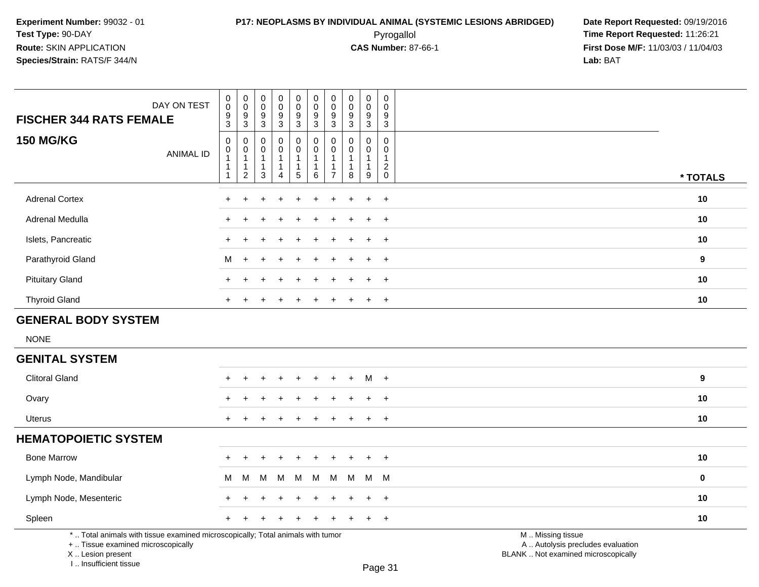## **P17: NEOPLASMS BY INDIVIDUAL ANIMAL (SYSTEMIC LESIONS ABRIDGED) Date Report Requested:** 09/19/2016 Pyrogallol **Time Report Requested:** 11:26:21

**First Dose M/F:** 11/03/03 / 11/04/03<br>**Lab:** BAT **Lab:** BAT

| DAY ON TEST<br><b>FISCHER 344 RATS FEMALE</b>                                                                         |                  | $\pmb{0}$<br>$\pmb{0}$<br>$\frac{9}{3}$                                    | $\pmb{0}$<br>$\mathbf 0$<br>9<br>3       | $\pmb{0}$<br>$\mathbf 0$<br>$\boldsymbol{9}$<br>$\overline{3}$            | $\pmb{0}$<br>$\ddot{\mathbf{0}}$<br>9<br>$\overline{3}$ | 0<br>$\mathbf 0$<br>9<br>$\mathbf{3}$ | $\pmb{0}$<br>$\pmb{0}$<br>$9\,$<br>$\overline{3}$                                 | $\pmb{0}$<br>$\mathbf 0$<br>9<br>$\mathbf{3}$                        | $\pmb{0}$<br>$\mathbf 0$<br>9<br>3               | $\pmb{0}$<br>$\mathbf 0$<br>$\boldsymbol{9}$<br>$\overline{3}$       | $\mathsf 0$<br>$\Omega$<br>9<br>$\mathbf{3}$    |                                                        |             |
|-----------------------------------------------------------------------------------------------------------------------|------------------|----------------------------------------------------------------------------|------------------------------------------|---------------------------------------------------------------------------|---------------------------------------------------------|---------------------------------------|-----------------------------------------------------------------------------------|----------------------------------------------------------------------|--------------------------------------------------|----------------------------------------------------------------------|-------------------------------------------------|--------------------------------------------------------|-------------|
| <b>150 MG/KG</b>                                                                                                      | <b>ANIMAL ID</b> | $\pmb{0}$<br>$\mathbf 0$<br>$\overline{1}$<br>$\mathbf{1}$<br>$\mathbf{1}$ | 0<br>0<br>$\mathbf{1}$<br>$\overline{c}$ | $\mathbf 0$<br>$\mathbf 0$<br>$\mathbf 1$<br>$\mathbf{1}$<br>$\mathbf{3}$ | $\mathbf 0$<br>0<br>$\mathbf 1$<br>1<br>$\overline{4}$  | $\mathbf 0$<br>0<br>$5\,$             | $\mathbf 0$<br>$\mathsf{O}\xspace$<br>$\overline{1}$<br>$\overline{1}$<br>$\,6\,$ | $\mathbf{0}$<br>$\mathbf 0$<br>$\overline{1}$<br>1<br>$\overline{7}$ | $\Omega$<br>$\Omega$<br>$\overline{1}$<br>1<br>8 | 0<br>$\mathbf 0$<br>$\mathbf{1}$<br>$\mathbf{1}$<br>$\boldsymbol{9}$ | 0<br>$\mathbf 0$<br>$\mathbf 1$<br>$^2_{\rm 0}$ |                                                        | * TOTALS    |
| <b>Adrenal Cortex</b>                                                                                                 |                  |                                                                            |                                          |                                                                           |                                                         |                                       |                                                                                   |                                                                      |                                                  | $\ddot{}$                                                            | $+$                                             |                                                        | 10          |
| Adrenal Medulla                                                                                                       |                  |                                                                            |                                          |                                                                           |                                                         |                                       |                                                                                   |                                                                      |                                                  |                                                                      | $\ddot{}$                                       |                                                        | 10          |
| Islets, Pancreatic                                                                                                    |                  |                                                                            |                                          |                                                                           |                                                         |                                       |                                                                                   |                                                                      |                                                  | ÷                                                                    | $+$                                             |                                                        | 10          |
| Parathyroid Gland                                                                                                     |                  | м                                                                          | $\ddot{}$                                |                                                                           |                                                         |                                       |                                                                                   |                                                                      |                                                  | $\ddot{}$                                                            | $\overline{+}$                                  |                                                        | 9           |
| <b>Pituitary Gland</b>                                                                                                |                  |                                                                            |                                          |                                                                           |                                                         |                                       |                                                                                   |                                                                      |                                                  | $\div$                                                               | $\ddot{}$                                       |                                                        | 10          |
| <b>Thyroid Gland</b>                                                                                                  |                  |                                                                            |                                          |                                                                           |                                                         |                                       |                                                                                   |                                                                      |                                                  | $\pm$                                                                | $\ddot{}$                                       |                                                        | 10          |
| <b>GENERAL BODY SYSTEM</b>                                                                                            |                  |                                                                            |                                          |                                                                           |                                                         |                                       |                                                                                   |                                                                      |                                                  |                                                                      |                                                 |                                                        |             |
| <b>NONE</b>                                                                                                           |                  |                                                                            |                                          |                                                                           |                                                         |                                       |                                                                                   |                                                                      |                                                  |                                                                      |                                                 |                                                        |             |
| <b>GENITAL SYSTEM</b>                                                                                                 |                  |                                                                            |                                          |                                                                           |                                                         |                                       |                                                                                   |                                                                      |                                                  |                                                                      |                                                 |                                                        |             |
| <b>Clitoral Gland</b>                                                                                                 |                  |                                                                            |                                          |                                                                           |                                                         |                                       |                                                                                   |                                                                      |                                                  | м                                                                    | $+$                                             |                                                        | 9           |
| Ovary                                                                                                                 |                  |                                                                            |                                          |                                                                           |                                                         |                                       |                                                                                   |                                                                      |                                                  |                                                                      | $\ddot{}$                                       |                                                        | 10          |
| Uterus                                                                                                                |                  | $+$                                                                        |                                          |                                                                           |                                                         |                                       |                                                                                   |                                                                      |                                                  | $\ddot{}$                                                            | $+$                                             |                                                        | 10          |
| <b>HEMATOPOIETIC SYSTEM</b>                                                                                           |                  |                                                                            |                                          |                                                                           |                                                         |                                       |                                                                                   |                                                                      |                                                  |                                                                      |                                                 |                                                        |             |
| <b>Bone Marrow</b>                                                                                                    |                  |                                                                            |                                          |                                                                           |                                                         |                                       |                                                                                   |                                                                      |                                                  | $\ddot{}$                                                            | $\overline{+}$                                  |                                                        | 10          |
| Lymph Node, Mandibular                                                                                                |                  | м                                                                          | М                                        | M                                                                         | M                                                       | M                                     | M                                                                                 | м                                                                    | М                                                | M                                                                    | M                                               |                                                        | $\mathbf 0$ |
| Lymph Node, Mesenteric                                                                                                |                  |                                                                            |                                          |                                                                           |                                                         |                                       |                                                                                   |                                                                      |                                                  | $\ddot{}$                                                            | $+$                                             |                                                        | 10          |
| Spleen                                                                                                                |                  | $+$                                                                        |                                          |                                                                           |                                                         |                                       |                                                                                   |                                                                      |                                                  | $\ddot{}$                                                            | $+$                                             |                                                        | 10          |
| *  Total animals with tissue examined microscopically; Total animals with tumor<br>+  Tissue examined microscopically |                  |                                                                            |                                          |                                                                           |                                                         |                                       |                                                                                   |                                                                      |                                                  |                                                                      |                                                 | M  Missing tissue<br>A  Autolysis precludes evaluation |             |

X .. Lesion present

I .. Insufficient tissue

Lesion present BLANK .. Not examined microscopically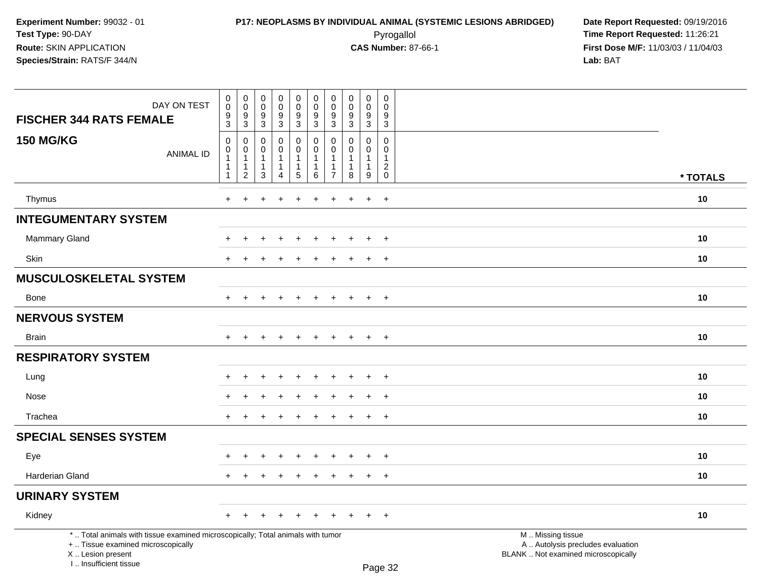| DAY ON TEST<br><b>FISCHER 344 RATS FEMALE</b>                                                                                                                       | $\pmb{0}$<br>$\pmb{0}$<br>9                           | $\mathbf 0$<br>$\mathbf 0$<br>9                                    | $\pmb{0}$<br>$\mathsf{O}\xspace$<br>9                               | $\pmb{0}$<br>$\mathsf{O}\xspace$<br>$\boldsymbol{9}$                         | $\mathbf 0$<br>$\pmb{0}$<br>$\boldsymbol{9}$                             | $\mathbf 0$<br>$\mathbf 0$<br>9                                 | $\mathbf 0$<br>$\mathbf 0$<br>9      | 0<br>$\mathbf 0$<br>9                          | $\pmb{0}$<br>$\pmb{0}$<br>$\boldsymbol{9}$                      | 0<br>$\mathbf 0$<br>9                                                       |                                                                                               |          |
|---------------------------------------------------------------------------------------------------------------------------------------------------------------------|-------------------------------------------------------|--------------------------------------------------------------------|---------------------------------------------------------------------|------------------------------------------------------------------------------|--------------------------------------------------------------------------|-----------------------------------------------------------------|--------------------------------------|------------------------------------------------|-----------------------------------------------------------------|-----------------------------------------------------------------------------|-----------------------------------------------------------------------------------------------|----------|
|                                                                                                                                                                     | 3                                                     | 3                                                                  | $\mathfrak{S}$                                                      | 3                                                                            | 3                                                                        | 3                                                               | 3                                    | $\mathbf{3}$                                   | 3                                                               | 3                                                                           |                                                                                               |          |
| <b>150 MG/KG</b><br><b>ANIMAL ID</b>                                                                                                                                | 0<br>0<br>$\mathbf 1$<br>$\mathbf{1}$<br>$\mathbf{1}$ | 0<br>$\mathbf 0$<br>$\mathbf{1}$<br>$\mathbf{1}$<br>$\overline{2}$ | $\mathbf 0$<br>$\mathbf 0$<br>$\overline{1}$<br>$\overline{1}$<br>3 | $\mathbf 0$<br>$\mathbf 0$<br>$\mathbf{1}$<br>$\mathbf{1}$<br>$\overline{4}$ | $\pmb{0}$<br>$\mathbf 0$<br>$\mathbf{1}$<br>$\overline{1}$<br>$\sqrt{5}$ | $\mathbf 0$<br>$\mathbf 0$<br>$\mathbf{1}$<br>$\mathbf{1}$<br>6 | 0<br>$\Omega$<br>1<br>$\overline{7}$ | $\Omega$<br>$\Omega$<br>1<br>$\mathbf{1}$<br>8 | $\mathbf 0$<br>$\mathbf 0$<br>$\mathbf{1}$<br>$\mathbf{1}$<br>9 | $\mathbf 0$<br>$\mathbf 0$<br>$\mathbf{1}$<br>$\overline{c}$<br>$\mathbf 0$ |                                                                                               | * TOTALS |
|                                                                                                                                                                     |                                                       |                                                                    |                                                                     |                                                                              |                                                                          |                                                                 |                                      |                                                |                                                                 |                                                                             |                                                                                               |          |
| Thymus                                                                                                                                                              | $\ddot{}$                                             |                                                                    |                                                                     |                                                                              |                                                                          |                                                                 |                                      |                                                | $\ddot{}$                                                       | $\ddot{}$                                                                   |                                                                                               | 10       |
| <b>INTEGUMENTARY SYSTEM</b>                                                                                                                                         |                                                       |                                                                    |                                                                     |                                                                              |                                                                          |                                                                 |                                      |                                                |                                                                 |                                                                             |                                                                                               |          |
| Mammary Gland                                                                                                                                                       |                                                       |                                                                    |                                                                     |                                                                              |                                                                          |                                                                 |                                      |                                                | $\ddot{}$                                                       | $+$                                                                         |                                                                                               | 10       |
| Skin                                                                                                                                                                | $+$                                                   | $\ddot{}$                                                          | $\pm$                                                               | $\ddot{}$                                                                    | $\ddot{}$                                                                | $\ddot{}$                                                       | $\ddot{}$                            | $\pm$                                          | $+$                                                             | $+$                                                                         |                                                                                               | 10       |
| <b>MUSCULOSKELETAL SYSTEM</b>                                                                                                                                       |                                                       |                                                                    |                                                                     |                                                                              |                                                                          |                                                                 |                                      |                                                |                                                                 |                                                                             |                                                                                               |          |
| <b>Bone</b>                                                                                                                                                         | $+$                                                   | $+$                                                                | $+$                                                                 | $+$                                                                          | $+$                                                                      | $+$                                                             | $+$                                  | $+$                                            | $+$                                                             | $+$                                                                         |                                                                                               | 10       |
| <b>NERVOUS SYSTEM</b>                                                                                                                                               |                                                       |                                                                    |                                                                     |                                                                              |                                                                          |                                                                 |                                      |                                                |                                                                 |                                                                             |                                                                                               |          |
| <b>Brain</b>                                                                                                                                                        | $+$                                                   | $\ddot{}$                                                          |                                                                     | $\overline{1}$                                                               | $+$                                                                      | $\ddot{}$                                                       | $\pm$                                | $+$                                            | $+$                                                             | $+$                                                                         |                                                                                               | 10       |
| <b>RESPIRATORY SYSTEM</b>                                                                                                                                           |                                                       |                                                                    |                                                                     |                                                                              |                                                                          |                                                                 |                                      |                                                |                                                                 |                                                                             |                                                                                               |          |
| Lung                                                                                                                                                                |                                                       |                                                                    |                                                                     |                                                                              |                                                                          |                                                                 |                                      |                                                | $\ddot{}$                                                       | $^{+}$                                                                      |                                                                                               | 10       |
| Nose                                                                                                                                                                |                                                       |                                                                    |                                                                     |                                                                              |                                                                          |                                                                 |                                      |                                                |                                                                 | $\div$                                                                      |                                                                                               | 10       |
| Trachea                                                                                                                                                             |                                                       |                                                                    |                                                                     |                                                                              |                                                                          |                                                                 |                                      |                                                | $\ddot{}$                                                       | $+$                                                                         |                                                                                               | 10       |
| <b>SPECIAL SENSES SYSTEM</b>                                                                                                                                        |                                                       |                                                                    |                                                                     |                                                                              |                                                                          |                                                                 |                                      |                                                |                                                                 |                                                                             |                                                                                               |          |
| Eye                                                                                                                                                                 |                                                       |                                                                    |                                                                     |                                                                              |                                                                          |                                                                 |                                      |                                                |                                                                 | $\div$                                                                      |                                                                                               | 10       |
| Harderian Gland                                                                                                                                                     | ÷                                                     |                                                                    |                                                                     |                                                                              |                                                                          |                                                                 |                                      |                                                | $+$                                                             | $+$                                                                         |                                                                                               | 10       |
| <b>URINARY SYSTEM</b>                                                                                                                                               |                                                       |                                                                    |                                                                     |                                                                              |                                                                          |                                                                 |                                      |                                                |                                                                 |                                                                             |                                                                                               |          |
| Kidney                                                                                                                                                              | $+$                                                   | $+$                                                                | $+$                                                                 | $+$                                                                          | $+$                                                                      | $+$                                                             | $+$                                  | $+$                                            | $+$                                                             | $+$                                                                         |                                                                                               | 10       |
| *  Total animals with tissue examined microscopically; Total animals with tumor<br>+  Tissue examined microscopically<br>X  Lesion present<br>I Insufficient tissue |                                                       |                                                                    |                                                                     |                                                                              |                                                                          |                                                                 |                                      |                                                |                                                                 | $D_{200}$ 22                                                                | M  Missing tissue<br>A  Autolysis precludes evaluation<br>BLANK  Not examined microscopically |          |